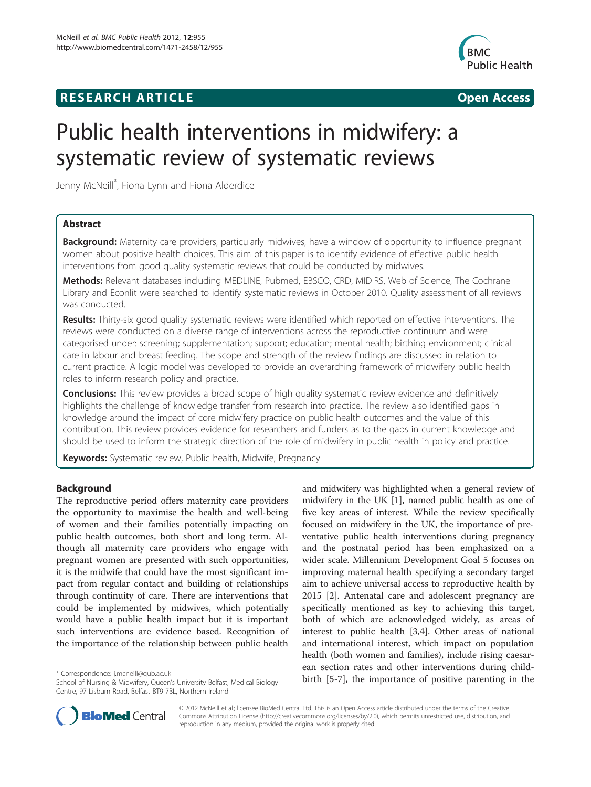## **RESEARCH ARTICLE Example 2014 CONSIDERING CONSIDERING CONSIDERING CONSIDERING CONSIDERING CONSIDERING CONSIDERING CONSIDERING CONSIDERING CONSIDERING CONSIDERING CONSIDERING CONSIDERING CONSIDERING CONSIDERING CONSIDE**



# Public health interventions in midwifery: a systematic review of systematic reviews

Jenny McNeill\* , Fiona Lynn and Fiona Alderdice

## Abstract

Background: Maternity care providers, particularly midwives, have a window of opportunity to influence pregnant women about positive health choices. This aim of this paper is to identify evidence of effective public health interventions from good quality systematic reviews that could be conducted by midwives.

Methods: Relevant databases including MEDLINE, Pubmed, EBSCO, CRD, MIDIRS, Web of Science, The Cochrane Library and Econlit were searched to identify systematic reviews in October 2010. Quality assessment of all reviews was conducted.

Results: Thirty-six good quality systematic reviews were identified which reported on effective interventions. The reviews were conducted on a diverse range of interventions across the reproductive continuum and were categorised under: screening; supplementation; support; education; mental health; birthing environment; clinical care in labour and breast feeding. The scope and strength of the review findings are discussed in relation to current practice. A logic model was developed to provide an overarching framework of midwifery public health roles to inform research policy and practice.

**Conclusions:** This review provides a broad scope of high quality systematic review evidence and definitively highlights the challenge of knowledge transfer from research into practice. The review also identified gaps in knowledge around the impact of core midwifery practice on public health outcomes and the value of this contribution. This review provides evidence for researchers and funders as to the gaps in current knowledge and should be used to inform the strategic direction of the role of midwifery in public health in policy and practice.

Keywords: Systematic review, Public health, Midwife, Pregnancy

## Background

The reproductive period offers maternity care providers the opportunity to maximise the health and well-being of women and their families potentially impacting on public health outcomes, both short and long term. Although all maternity care providers who engage with pregnant women are presented with such opportunities, it is the midwife that could have the most significant impact from regular contact and building of relationships through continuity of care. There are interventions that could be implemented by midwives, which potentially would have a public health impact but it is important such interventions are evidence based. Recognition of the importance of the relationship between public health

School of Nursing & Midwifery, Queen's University Belfast, Medical Biology Centre, 97 Lisburn Road, Belfast BT9 7BL, Northern Ireland

and midwifery was highlighted when a general review of midwifery in the UK [[1\]](#page-20-0), named public health as one of five key areas of interest. While the review specifically focused on midwifery in the UK, the importance of preventative public health interventions during pregnancy and the postnatal period has been emphasized on a wider scale. Millennium Development Goal 5 focuses on improving maternal health specifying a secondary target aim to achieve universal access to reproductive health by 2015 [\[2\]](#page-20-0). Antenatal care and adolescent pregnancy are specifically mentioned as key to achieving this target, both of which are acknowledged widely, as areas of interest to public health [\[3,4](#page-20-0)]. Other areas of national and international interest, which impact on population health (both women and families), include rising caesarean section rates and other interventions during child\* Correspondence: [j.mcneill@qub.ac.uk](mailto:j.mcneill@qub.ac.uk)<br>School of Nursing & Midwifery Oueen's University Belfast Medical Biology **birth [[5-7](#page-20-0)], the importance of positive parenting in the** 



© 2012 McNeill et al.; licensee BioMed Central Ltd. This is an Open Access article distributed under the terms of the Creative Commons Attribution License [\(http://creativecommons.org/licenses/by/2.0\)](http://creativecommons.org/licenses/by/2.0), which permits unrestricted use, distribution, and reproduction in any medium, provided the original work is properly cited.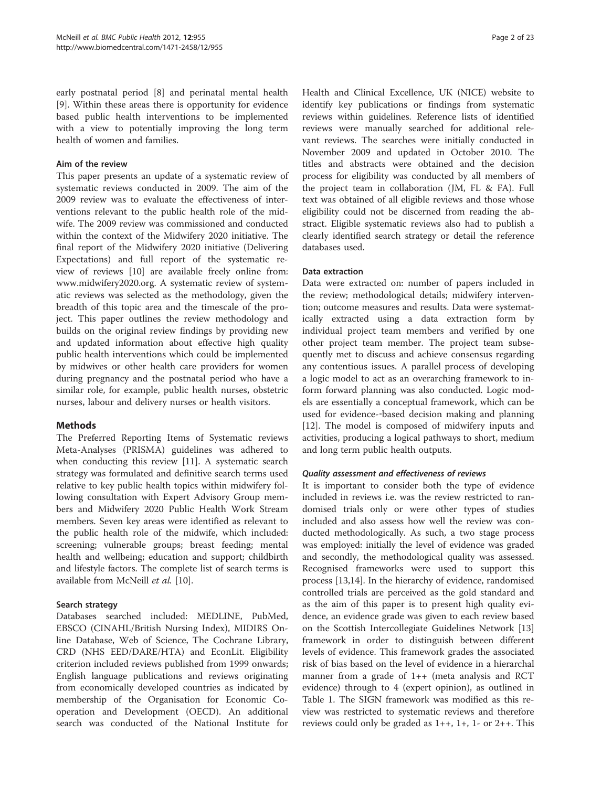early postnatal period [[8\]](#page-20-0) and perinatal mental health [[9\]](#page-20-0). Within these areas there is opportunity for evidence based public health interventions to be implemented with a view to potentially improving the long term health of women and families.

## Aim of the review

This paper presents an update of a systematic review of systematic reviews conducted in 2009. The aim of the 2009 review was to evaluate the effectiveness of interventions relevant to the public health role of the midwife. The 2009 review was commissioned and conducted within the context of the Midwifery 2020 initiative. The final report of the Midwifery 2020 initiative (Delivering Expectations) and full report of the systematic review of reviews [[10\]](#page-20-0) are available freely online from: [www.midwifery2020.org](http://www.midwifery2020.org). A systematic review of systematic reviews was selected as the methodology, given the breadth of this topic area and the timescale of the project. This paper outlines the review methodology and builds on the original review findings by providing new and updated information about effective high quality public health interventions which could be implemented by midwives or other health care providers for women during pregnancy and the postnatal period who have a similar role, for example, public health nurses, obstetric nurses, labour and delivery nurses or health visitors.

## Methods

The Preferred Reporting Items of Systematic reviews Meta-Analyses (PRISMA) guidelines was adhered to when conducting this review [[11\]](#page-21-0). A systematic search strategy was formulated and definitive search terms used relative to key public health topics within midwifery following consultation with Expert Advisory Group members and Midwifery 2020 Public Health Work Stream members. Seven key areas were identified as relevant to the public health role of the midwife, which included: screening; vulnerable groups; breast feeding; mental health and wellbeing; education and support; childbirth and lifestyle factors. The complete list of search terms is available from McNeill et al. [[10\]](#page-20-0).

#### Search strategy

Databases searched included: MEDLINE, PubMed, EBSCO (CINAHL/British Nursing Index), MIDIRS Online Database, Web of Science, The Cochrane Library, CRD (NHS EED/DARE/HTA) and EconLit. Eligibility criterion included reviews published from 1999 onwards; English language publications and reviews originating from economically developed countries as indicated by membership of the Organisation for Economic Cooperation and Development (OECD). An additional search was conducted of the National Institute for Health and Clinical Excellence, UK (NICE) website to identify key publications or findings from systematic reviews within guidelines. Reference lists of identified reviews were manually searched for additional relevant reviews. The searches were initially conducted in November 2009 and updated in October 2010. The titles and abstracts were obtained and the decision process for eligibility was conducted by all members of the project team in collaboration (JM, FL & FA). Full text was obtained of all eligible reviews and those whose eligibility could not be discerned from reading the abstract. Eligible systematic reviews also had to publish a clearly identified search strategy or detail the reference databases used.

#### Data extraction

Data were extracted on: number of papers included in the review; methodological details; midwifery intervention; outcome measures and results. Data were systematically extracted using a data extraction form by individual project team members and verified by one other project team member. The project team subsequently met to discuss and achieve consensus regarding any contentious issues. A parallel process of developing a logic model to act as an overarching framework to inform forward planning was also conducted. Logic models are essentially a conceptual framework, which can be used for evidence-‐based decision making and planning [[12\]](#page-21-0). The model is composed of midwifery inputs and activities, producing a logical pathways to short, medium and long term public health outputs.

#### Quality assessment and effectiveness of reviews

It is important to consider both the type of evidence included in reviews i.e. was the review restricted to randomised trials only or were other types of studies included and also assess how well the review was conducted methodologically. As such, a two stage process was employed: initially the level of evidence was graded and secondly, the methodological quality was assessed. Recognised frameworks were used to support this process [\[13,14\]](#page-21-0). In the hierarchy of evidence, randomised controlled trials are perceived as the gold standard and as the aim of this paper is to present high quality evidence, an evidence grade was given to each review based on the Scottish Intercollegiate Guidelines Network [[13](#page-21-0)] framework in order to distinguish between different levels of evidence. This framework grades the associated risk of bias based on the level of evidence in a hierarchal manner from a grade of  $1++$  (meta analysis and RCT evidence) through to 4 (expert opinion), as outlined in Table [1.](#page-2-0) The SIGN framework was modified as this review was restricted to systematic reviews and therefore reviews could only be graded as  $1++$ ,  $1+$ ,  $1-$  or  $2++$ . This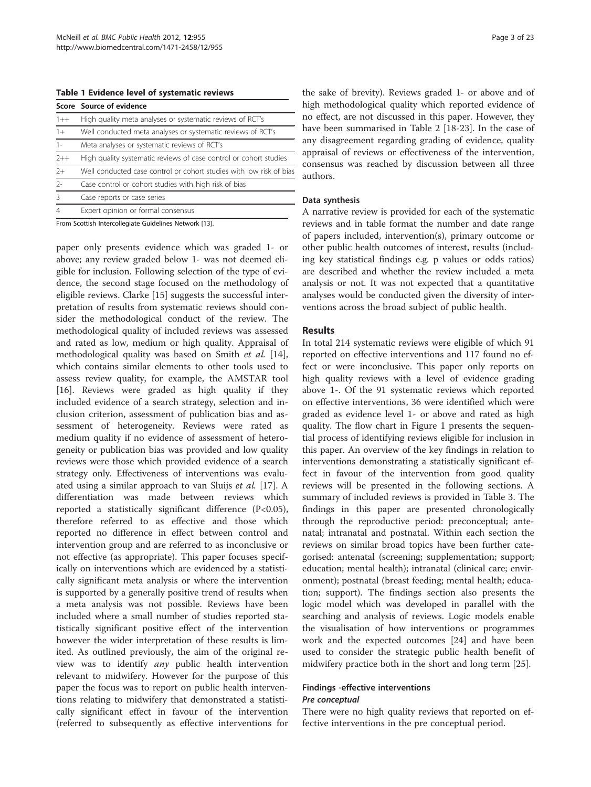<span id="page-2-0"></span>Table 1 Evidence level of systematic reviews

|         | Score Source of evidence                                            |
|---------|---------------------------------------------------------------------|
| $1 + +$ | High quality meta analyses or systematic reviews of RCT's           |
| $1+$    | Well conducted meta analyses or systematic reviews of RCT's         |
| $1 -$   | Meta analyses or systematic reviews of RCT's                        |
| $2 + +$ | High quality systematic reviews of case control or cohort studies   |
| $2+$    | Well conducted case control or cohort studies with low risk of bias |
| $2 -$   | Case control or cohort studies with high risk of bias               |
| २       | Case reports or case series                                         |
|         | Expert opinion or formal consensus                                  |
|         |                                                                     |

From Scottish Intercollegiate Guidelines Network [[13](#page-21-0)].

paper only presents evidence which was graded 1- or above; any review graded below 1- was not deemed eligible for inclusion. Following selection of the type of evidence, the second stage focused on the methodology of eligible reviews. Clarke [\[15](#page-21-0)] suggests the successful interpretation of results from systematic reviews should consider the methodological conduct of the review. The methodological quality of included reviews was assessed and rated as low, medium or high quality. Appraisal of methodological quality was based on Smith et al. [\[14](#page-21-0)], which contains similar elements to other tools used to assess review quality, for example, the AMSTAR tool [[16\]](#page-21-0). Reviews were graded as high quality if they included evidence of a search strategy, selection and inclusion criterion, assessment of publication bias and assessment of heterogeneity. Reviews were rated as medium quality if no evidence of assessment of heterogeneity or publication bias was provided and low quality reviews were those which provided evidence of a search strategy only. Effectiveness of interventions was evalu-ated using a similar approach to van Sluijs et al. [[17\]](#page-21-0). A differentiation was made between reviews which reported a statistically significant difference (P<0.05), therefore referred to as effective and those which reported no difference in effect between control and intervention group and are referred to as inconclusive or not effective (as appropriate). This paper focuses specifically on interventions which are evidenced by a statistically significant meta analysis or where the intervention is supported by a generally positive trend of results when a meta analysis was not possible. Reviews have been included where a small number of studies reported statistically significant positive effect of the intervention however the wider interpretation of these results is limited. As outlined previously, the aim of the original review was to identify any public health intervention relevant to midwifery. However for the purpose of this paper the focus was to report on public health interventions relating to midwifery that demonstrated a statistically significant effect in favour of the intervention (referred to subsequently as effective interventions for

the sake of brevity). Reviews graded 1- or above and of high methodological quality which reported evidence of no effect, are not discussed in this paper. However, they have been summarised in Table [2](#page-3-0) [\[18-23](#page-21-0)]. In the case of any disagreement regarding grading of evidence, quality appraisal of reviews or effectiveness of the intervention, consensus was reached by discussion between all three authors.

#### Data synthesis

A narrative review is provided for each of the systematic reviews and in table format the number and date range of papers included, intervention(s), primary outcome or other public health outcomes of interest, results (including key statistical findings e.g. p values or odds ratios) are described and whether the review included a meta analysis or not. It was not expected that a quantitative analyses would be conducted given the diversity of interventions across the broad subject of public health.

#### Results

In total 214 systematic reviews were eligible of which 91 reported on effective interventions and 117 found no effect or were inconclusive. This paper only reports on high quality reviews with a level of evidence grading above 1-. Of the 91 systematic reviews which reported on effective interventions, 36 were identified which were graded as evidence level 1- or above and rated as high quality. The flow chart in Figure [1](#page-4-0) presents the sequential process of identifying reviews eligible for inclusion in this paper. An overview of the key findings in relation to interventions demonstrating a statistically significant effect in favour of the intervention from good quality reviews will be presented in the following sections. A summary of included reviews is provided in Table [3](#page-5-0). The findings in this paper are presented chronologically through the reproductive period: preconceptual; antenatal; intranatal and postnatal. Within each section the reviews on similar broad topics have been further categorised: antenatal (screening; supplementation; support; education; mental health); intranatal (clinical care; environment); postnatal (breast feeding; mental health; education; support). The findings section also presents the logic model which was developed in parallel with the searching and analysis of reviews. Logic models enable the visualisation of how interventions or programmes work and the expected outcomes [\[24](#page-21-0)] and have been used to consider the strategic public health benefit of midwifery practice both in the short and long term [\[25\]](#page-21-0).

#### Findings -effective interventions Pre conceptual

There were no high quality reviews that reported on effective interventions in the pre conceptual period.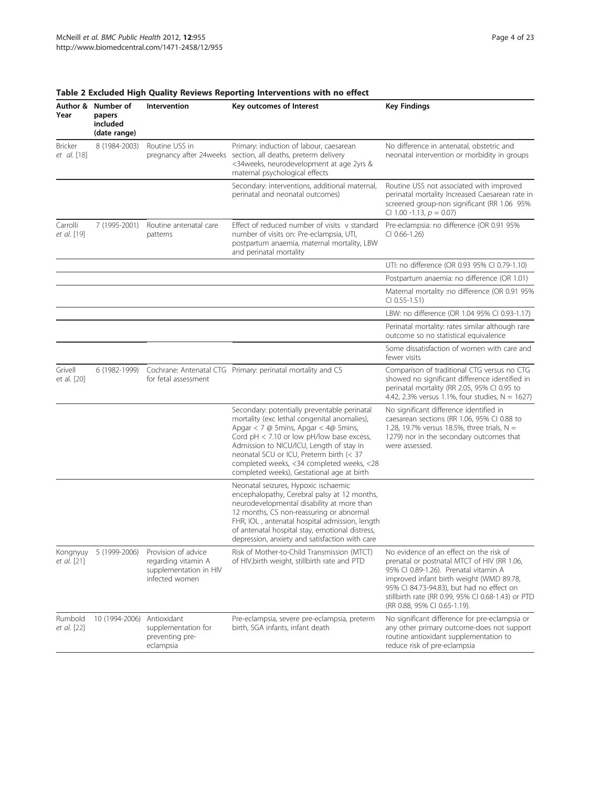| Year                          | Author & Number of<br>papers<br>included<br>(date range) | Intervention                                                                           | Key outcomes of Interest                                                                                                                                                                                                                                                                                                                                                 | <b>Key Findings</b>                                                                                                                                                                                                                                                                                            |
|-------------------------------|----------------------------------------------------------|----------------------------------------------------------------------------------------|--------------------------------------------------------------------------------------------------------------------------------------------------------------------------------------------------------------------------------------------------------------------------------------------------------------------------------------------------------------------------|----------------------------------------------------------------------------------------------------------------------------------------------------------------------------------------------------------------------------------------------------------------------------------------------------------------|
| <b>Bricker</b><br>et al. [18] | 8 (1984-2003)                                            | Routine USS in<br>pregnancy after 24weeks                                              | Primary: induction of labour, caesarean<br>section, all deaths, preterm delivery<br><34weeks, neurodevelopment at age 2yrs &<br>maternal psychological effects                                                                                                                                                                                                           | No difference in antenatal, obstetric and<br>neonatal intervention or morbidity in groups                                                                                                                                                                                                                      |
|                               |                                                          |                                                                                        | Secondary: interventions, additional maternal,<br>perinatal and neonatal outcomes)                                                                                                                                                                                                                                                                                       | Routine USS not associated with improved<br>perinatal mortality Increased Caesarean rate in<br>screened group-non significant (RR 1.06 95%<br>CI 1.00 -1.13, $p = 0.07$ )                                                                                                                                      |
| Carrolli<br>et al. [19]       | 7 (1995-2001)                                            | Routine antenatal care<br>patterns                                                     | Effect of reduced number of visits v standard<br>number of visits on: Pre-eclampsia, UTI,<br>postpartum anaemia, maternal mortality, LBW<br>and perinatal mortality                                                                                                                                                                                                      | Pre-eclampsia: no difference (OR 0.91 95%<br>$Cl$ 0.66-1.26)                                                                                                                                                                                                                                                   |
|                               |                                                          |                                                                                        |                                                                                                                                                                                                                                                                                                                                                                          | UTI: no difference (OR 0.93 95% CI 0.79-1.10)                                                                                                                                                                                                                                                                  |
|                               |                                                          |                                                                                        |                                                                                                                                                                                                                                                                                                                                                                          | Postpartum anaemia: no difference (OR 1.01)                                                                                                                                                                                                                                                                    |
|                               |                                                          |                                                                                        |                                                                                                                                                                                                                                                                                                                                                                          | Maternal mortality :no difference (OR 0.91 95%<br>$Cl$ 0.55-1.51)                                                                                                                                                                                                                                              |
|                               |                                                          |                                                                                        |                                                                                                                                                                                                                                                                                                                                                                          | LBW: no difference (OR 1.04 95% CI 0.93-1.17)                                                                                                                                                                                                                                                                  |
|                               |                                                          |                                                                                        |                                                                                                                                                                                                                                                                                                                                                                          | Perinatal mortality: rates similar although rare<br>outcome so no statistical equivalence                                                                                                                                                                                                                      |
|                               |                                                          |                                                                                        |                                                                                                                                                                                                                                                                                                                                                                          | Some dissatisfaction of women with care and<br>fewer visits                                                                                                                                                                                                                                                    |
| Grivell<br>et al. [20]        | 6 (1982-1999)                                            | for fetal assessment                                                                   | Cochrane: Antenatal CTG Primary: perinatal mortality and CS                                                                                                                                                                                                                                                                                                              | Comparison of traditional CTG versus no CTG<br>showed no significant difference identified in<br>perinatal mortality (RR 2.05, 95% CI 0.95 to<br>4.42, 2.3% versus 1.1%, four studies, N = 1627)                                                                                                               |
|                               |                                                          |                                                                                        | Secondary: potentially preventable perinatal<br>mortality (exc lethal congenital anomalies),<br>Apgar $<$ 7 @ 5mins, Apgar $<$ 4@ 5mins,<br>Cord pH < 7.10 or low pH/low base excess,<br>Admission to NICU/ICU, Length of stay in<br>neonatal SCU or ICU, Preterm birth (< 37<br>completed weeks, <34 completed weeks, <28<br>completed weeks), Gestational age at birth | No significant difference identified in<br>caesarean sections (RR 1.06, 95% CI 0.88 to<br>1.28, 19.7% versus 18.5%, three trials, $N =$<br>1279) nor in the secondary outcomes that<br>were assessed.                                                                                                          |
|                               |                                                          |                                                                                        | Neonatal seizures, Hypoxic ischaemic<br>encephalopathy, Cerebral palsy at 12 months,<br>neurodevelopmental disability at more than<br>12 months, CS non-reassuring or abnormal<br>FHR, IOL, antenatal hospital admission, length<br>of antenatal hospital stay, emotional distress,<br>depression, anxiety and satisfaction with care                                    |                                                                                                                                                                                                                                                                                                                |
| Kongnyuy<br>et al. [21]       | 5 (1999-2006)                                            | Provision of advice<br>regarding vitamin A<br>supplementation in HIV<br>infected women | Risk of Mother-to-Child Transmission (MTCT)<br>of HIV, birth weight, stillbirth rate and PTD                                                                                                                                                                                                                                                                             | No evidence of an effect on the risk of<br>prenatal or postnatal MTCT of HIV (RR 1.06,<br>95% Cl 0.89-1.26). Prenatal vitamin A<br>improved infant birth weight (WMD 89.78,<br>95% CI 84.73-94.83), but had no effect on<br>stillbirth rate (RR 0.99, 95% CI 0.68-1.43) or PTD<br>(RR 0.88, 95% CI 0.65-1.19). |
| Rumbold<br>et al. [22]        | 10 (1994-2006)                                           | Antioxidant<br>supplementation for<br>preventing pre-<br>eclampsia                     | Pre-eclampsia, severe pre-eclampsia, preterm<br>birth, SGA infants, infant death                                                                                                                                                                                                                                                                                         | No significant difference for pre-eclampsia or<br>any other primary outcome-does not support<br>routine antioxidant supplementation to<br>reduce risk of pre-eclampsia                                                                                                                                         |

## <span id="page-3-0"></span>Table 2 Excluded High Quality Reviews Reporting Interventions with no effect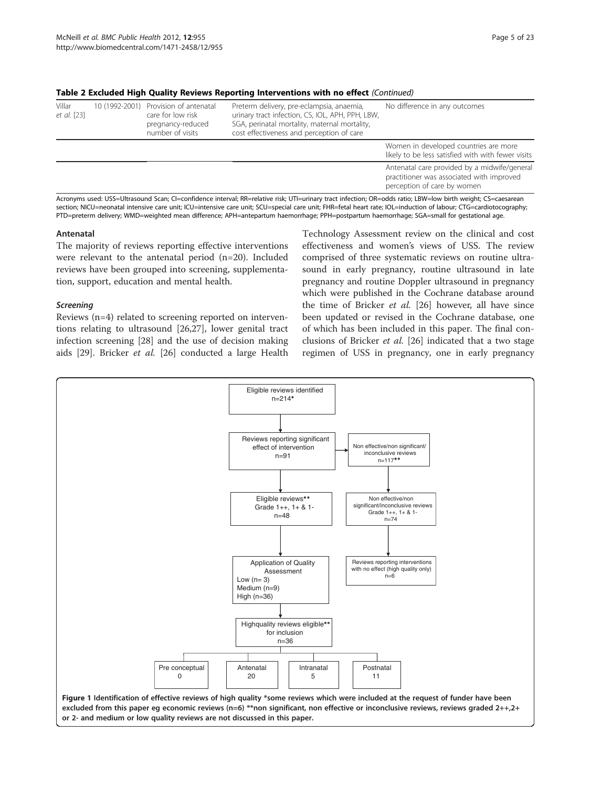<span id="page-4-0"></span>

| Table 2 Excluded High Quality Reviews Reporting Interventions with no effect (Continued) |  |
|------------------------------------------------------------------------------------------|--|
|------------------------------------------------------------------------------------------|--|

| Villar<br>et al. [23] | 10 (1992-2001) Provision of antenatal<br>care for low risk<br>pregnancy-reduced<br>number of visits | Preterm delivery, pre-eclampsia, anaemia,<br>urinary tract infection, CS, IOL, APH, PPH, LBW,<br>SGA, perinatal mortality, maternal mortality,<br>cost effectiveness and perception of care | No difference in any outcomes                                                                                            |
|-----------------------|-----------------------------------------------------------------------------------------------------|---------------------------------------------------------------------------------------------------------------------------------------------------------------------------------------------|--------------------------------------------------------------------------------------------------------------------------|
|                       |                                                                                                     |                                                                                                                                                                                             | Women in developed countries are more<br>likely to be less satisfied with with fewer visits                              |
|                       |                                                                                                     |                                                                                                                                                                                             | Antenatal care provided by a midwife/general<br>practitioner was associated with improved<br>perception of care by women |

Acronyms used: USS=Ultrasound Scan; CI=confidence interval; RR=relative risk; UTI=urinary tract infection; OR=odds ratio; LBW=low birth weight; CS=caesarean section; NICU=neonatal intensive care unit; ICU=intensive care unit; SCU=special care unit; FHR=fetal heart rate; IOL=induction of labour; CTG=cardiotocography; PTD=preterm delivery; WMD=weighted mean difference; APH=antepartum haemorrhage; PPH=postpartum haemorrhage; SGA=small for gestational age.

#### Antenatal

The majority of reviews reporting effective interventions were relevant to the antenatal period (n=20). Included reviews have been grouped into screening, supplementation, support, education and mental health.

#### Screening

Reviews (n=4) related to screening reported on interventions relating to ultrasound [\[26,27\]](#page-21-0), lower genital tract infection screening [\[28\]](#page-21-0) and the use of decision making aids [[29](#page-21-0)]. Bricker et al. [[26](#page-21-0)] conducted a large Health Technology Assessment review on the clinical and cost effectiveness and women's views of USS. The review comprised of three systematic reviews on routine ultrasound in early pregnancy, routine ultrasound in late pregnancy and routine Doppler ultrasound in pregnancy which were published in the Cochrane database around the time of Bricker et al. [\[26](#page-21-0)] however, all have since been updated or revised in the Cochrane database, one of which has been included in this paper. The final conclusions of Bricker et al. [[26\]](#page-21-0) indicated that a two stage regimen of USS in pregnancy, one in early pregnancy

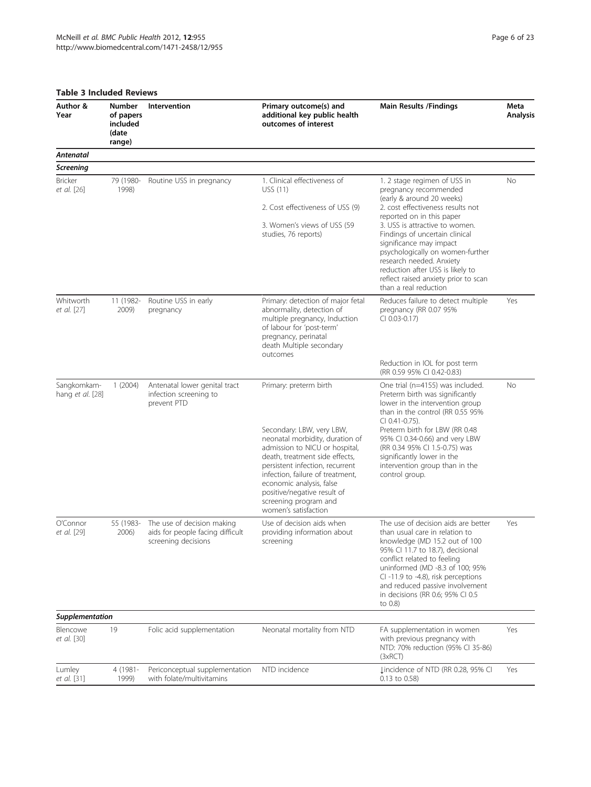| Author &<br>Year                | <b>Number</b><br>of papers<br>included<br>(date<br>range) | Intervention                                                                          | Primary outcome(s) and<br>additional key public health<br>outcomes of interest                                                                                                                                                                                                                                                                | <b>Main Results /Findings</b>                                                                                                                                                                                                                                                                                                                                                                                            | Meta<br><b>Analysis</b> |
|---------------------------------|-----------------------------------------------------------|---------------------------------------------------------------------------------------|-----------------------------------------------------------------------------------------------------------------------------------------------------------------------------------------------------------------------------------------------------------------------------------------------------------------------------------------------|--------------------------------------------------------------------------------------------------------------------------------------------------------------------------------------------------------------------------------------------------------------------------------------------------------------------------------------------------------------------------------------------------------------------------|-------------------------|
| Antenatal                       |                                                           |                                                                                       |                                                                                                                                                                                                                                                                                                                                               |                                                                                                                                                                                                                                                                                                                                                                                                                          |                         |
| <b>Screening</b>                |                                                           |                                                                                       |                                                                                                                                                                                                                                                                                                                                               |                                                                                                                                                                                                                                                                                                                                                                                                                          |                         |
| <b>Bricker</b><br>et al. [26]   | 79 (1980-<br>1998)                                        | Routine USS in pregnancy                                                              | 1. Clinical effectiveness of<br>USS (11)<br>2. Cost effectiveness of USS (9)<br>3. Women's views of USS (59<br>studies, 76 reports)                                                                                                                                                                                                           | 1. 2 stage regimen of USS in<br>pregnancy recommended<br>(early & around 20 weeks)<br>2. cost effectiveness results not<br>reported on in this paper<br>3. USS is attractive to women.<br>Findings of uncertain clinical<br>significance may impact<br>psychologically on women-further<br>research needed. Anxiety<br>reduction after USS is likely to<br>reflect raised anxiety prior to scan<br>than a real reduction | <b>No</b>               |
| Whitworth<br>et al. [27]        | 11 (1982-<br>2009)                                        | Routine USS in early<br>pregnancy                                                     | Primary: detection of major fetal<br>abnormality, detection of<br>multiple pregnancy, Induction<br>of labour for 'post-term'<br>pregnancy, perinatal<br>death Multiple secondary<br>outcomes                                                                                                                                                  | Reduces failure to detect multiple<br>pregnancy (RR 0.07 95%<br>CI 0.03-0.17)                                                                                                                                                                                                                                                                                                                                            | Yes                     |
|                                 |                                                           |                                                                                       |                                                                                                                                                                                                                                                                                                                                               | Reduction in IOL for post term<br>(RR 0.59 95% CI 0.42-0.83)                                                                                                                                                                                                                                                                                                                                                             |                         |
| Sangkomkam-<br>hang et al. [28] | 1(2004)                                                   | Antenatal lower genital tract<br>infection screening to<br>prevent PTD                | Primary: preterm birth<br>Secondary: LBW, very LBW,<br>neonatal morbidity, duration of<br>admission to NICU or hospital,<br>death, treatment side effects,<br>persistent infection, recurrent<br>infection, failure of treatment,<br>economic analysis, false<br>positive/negative result of<br>screening program and<br>women's satisfaction | One trial (n=4155) was included.<br>Preterm birth was significantly<br>lower in the intervention group<br>than in the control (RR 0.55 95%<br>CI 0.41-0.75).<br>Preterm birth for LBW (RR 0.48<br>95% CI 0.34-0.66) and very LBW<br>(RR 0.34 95% Cl 1.5-0.75) was<br>significantly lower in the<br>intervention group than in the<br>control group.                                                                      | <b>No</b>               |
| O'Connor<br>et al. [29]         | 55 (1983-<br>2006)                                        | The use of decision making<br>aids for people facing difficult<br>screening decisions | Use of decision aids when<br>providing information about<br>screening                                                                                                                                                                                                                                                                         | The use of decision aids are better<br>than usual care in relation to<br>knowledge (MD 15.2 out of 100<br>95% Cl 11.7 to 18.7), decisional<br>conflict related to feeling<br>uninformed (MD -8.3 of 100; 95%<br>CI-11.9 to -4.8), risk perceptions<br>and reduced passive involvement<br>in decisions (RR 0.6; 95% CI 0.5<br>to 0.8)                                                                                     | Yes                     |
| Supplementation                 |                                                           |                                                                                       |                                                                                                                                                                                                                                                                                                                                               |                                                                                                                                                                                                                                                                                                                                                                                                                          |                         |
| Blencowe<br>et al. [30]         | 19                                                        | Folic acid supplementation                                                            | Neonatal mortality from NTD                                                                                                                                                                                                                                                                                                                   | FA supplementation in women<br>with previous pregnancy with<br>NTD: 70% reduction (95% CI 35-86)<br>(3xRCT)                                                                                                                                                                                                                                                                                                              | Yes                     |
| Lumley<br>et al. [31]           | 4 (1981-<br>1999)                                         | Periconceptual supplementation<br>with folate/multivitamins                           | NTD incidence                                                                                                                                                                                                                                                                                                                                 | Lincidence of NTD (RR 0.28, 95% CI<br>0.13 to 0.58)                                                                                                                                                                                                                                                                                                                                                                      | Yes                     |

## <span id="page-5-0"></span>Table 3 Included Reviews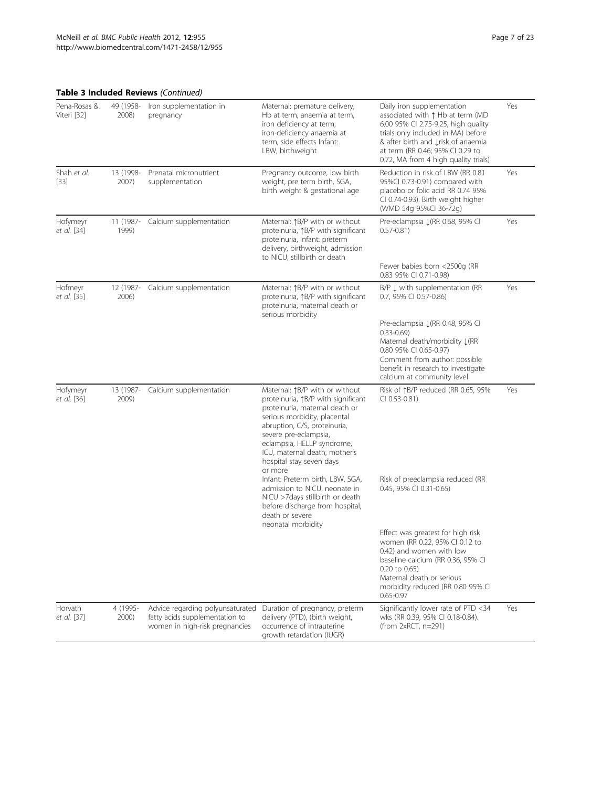| Pena-Rosas &<br>Viteri [32] | 49 (1958-<br>2008) | Iron supplementation in<br>pregnancy                                                                 | Maternal: premature delivery,<br>Hb at term, anaemia at term,<br>iron deficiency at term,<br>iron-deficiency anaemia at<br>term, side effects Infant:<br>LBW, birthweight                                                                                                                             | Daily iron supplementation<br>associated with $\uparrow$ Hb at term (MD<br>6.00 95% CI 2.75-9.25, high quality<br>trials only included in MA) before<br>& after birth and Jrisk of anaemia<br>at term (RR 0.46; 95% CI 0.29 to<br>0.72, MA from 4 high quality trials) | Yes |
|-----------------------------|--------------------|------------------------------------------------------------------------------------------------------|-------------------------------------------------------------------------------------------------------------------------------------------------------------------------------------------------------------------------------------------------------------------------------------------------------|------------------------------------------------------------------------------------------------------------------------------------------------------------------------------------------------------------------------------------------------------------------------|-----|
| Shah et al.<br>$[33]$       | 13 (1998-<br>2007) | Prenatal micronutrient<br>supplementation                                                            | Pregnancy outcome, low birth<br>weight, pre term birth, SGA,<br>birth weight & gestational age                                                                                                                                                                                                        | Reduction in risk of LBW (RR 0.81<br>95%Cl 0.73-0.91) compared with<br>placebo or folic acid RR 0.74 95%<br>CI 0.74-0.93). Birth weight higher<br>(WMD 54g 95%Cl 36-72g)                                                                                               | Yes |
| Hofymeyr<br>et al. [34]     | 1999)              | 11 (1987- Calcium supplementation                                                                    | Maternal: 18/P with or without<br>proteinuria, 1B/P with significant<br>proteinuria, Infant: preterm<br>delivery, birthweight, admission<br>to NICU, stillbirth or death                                                                                                                              | Pre-eclampsia L(RR 0.68, 95% CI<br>$0.57 - 0.81$                                                                                                                                                                                                                       | Yes |
|                             |                    |                                                                                                      |                                                                                                                                                                                                                                                                                                       | Fewer babies born <2500g (RR<br>0.83 95% CI 0.71-0.98)                                                                                                                                                                                                                 |     |
| Hofmeyr<br>et al. [35]      | 12 (1987-<br>2006) | Calcium supplementation                                                                              | Maternal: 18/P with or without<br>proteinuria, 1B/P with significant<br>proteinuria, maternal death or<br>serious morbidity                                                                                                                                                                           | $B/P \downarrow$ with supplementation (RR<br>0.7, 95% CI 0.57-0.86)                                                                                                                                                                                                    | Yes |
|                             |                    |                                                                                                      |                                                                                                                                                                                                                                                                                                       | Pre-eclampsia L(RR 0.48, 95% CI<br>$0.33 - 0.69$<br>Maternal death/morbidity I(RR<br>0.80 95% CI 0.65-0.97)<br>Comment from author: possible<br>benefit in research to investigate<br>calcium at community level                                                       |     |
| Hofymeyr<br>et al. [36]     | 13 (1987-<br>2009) | Calcium supplementation                                                                              | Maternal: 18/P with or without<br>proteinuria, 1B/P with significant<br>proteinuria, maternal death or<br>serious morbidity, placental<br>abruption, C/S, proteinuria,<br>severe pre-eclampsia,<br>eclampsia, HELLP syndrome,<br>ICU, maternal death, mother's<br>hospital stay seven days<br>or more | Risk of 18/P reduced (RR 0.65, 95%<br>$Cl$ 0.53-0.81)                                                                                                                                                                                                                  | Yes |
|                             |                    |                                                                                                      | Infant: Preterm birth, LBW, SGA,<br>admission to NICU, neonate in<br>NICU >7days stillbirth or death<br>before discharge from hospital,<br>death or severe<br>neonatal morbidity                                                                                                                      | Risk of preeclampsia reduced (RR<br>0.45, 95% CI 0.31-0.65)                                                                                                                                                                                                            |     |
|                             |                    |                                                                                                      |                                                                                                                                                                                                                                                                                                       | Effect was greatest for high risk<br>women (RR 0.22, 95% Cl 0.12 to<br>0.42) and women with low<br>baseline calcium (RR 0.36, 95% CI<br>$0.20$ to $0.65$ )<br>Maternal death or serious<br>morbidity reduced (RR 0.80 95% CI<br>$0.65 - 0.97$                          |     |
| Horvath<br>et al. [37]      | 4 (1995-<br>2000)  | Advice regarding polyunsaturated<br>fatty acids supplementation to<br>women in high-risk pregnancies | Duration of pregnancy, preterm<br>delivery (PTD), (birth weight,<br>occurrence of intrauterine<br>growth retardation (IUGR)                                                                                                                                                                           | Significantly lower rate of PTD <34<br>wks (RR 0.39, 95% CI 0.18-0.84).<br>(from $2xRCT$ , $n=291$ )                                                                                                                                                                   | Yes |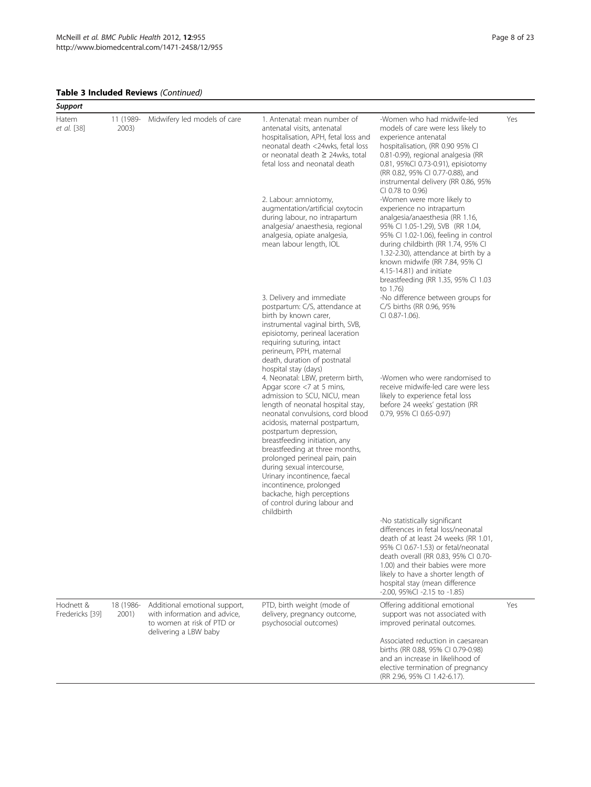Table 3 Included Reviews (Continued)

11 (1989- 2003)

Support **Hatem** et al. [\[38\]](#page-21-0)

|                              |                    |                                                                                                                      | neonatal death <24wks, fetal loss<br>or neonatal death $\geq$ 24wks, total<br>fetal loss and neonatal death<br>2. Labour: amniotomy,<br>augmentation/artificial oxytocin<br>during labour, no intrapartum<br>analgesia/ anaesthesia, regional<br>analgesia, opiate analgesia,<br>mean labour length, IOL                                                                                                                                                                                                    | hospitalisation, (RR 0.90 95% CI<br>0.81-0.99), regional analgesia (RR<br>0.81, 95%Cl 0.73-0.91), episiotomy<br>(RR 0.82, 95% CI 0.77-0.88), and<br>instrumental delivery (RR 0.86, 95%<br>CI 0.78 to 0.96)<br>-Women were more likely to<br>experience no intrapartum<br>analgesia/anaesthesia (RR 1.16,<br>95% CI 1.05-1.29), SVB (RR 1.04,<br>95% Cl 1.02-1.06), feeling in control<br>during childbirth (RR 1.74, 95% CI<br>1.32-2.30), attendance at birth by a<br>known midwife (RR 7.84, 95% CI<br>4.15-14.81) and initiate<br>breastfeeding (RR 1.35, 95% CI 1.03 |     |
|------------------------------|--------------------|----------------------------------------------------------------------------------------------------------------------|-------------------------------------------------------------------------------------------------------------------------------------------------------------------------------------------------------------------------------------------------------------------------------------------------------------------------------------------------------------------------------------------------------------------------------------------------------------------------------------------------------------|---------------------------------------------------------------------------------------------------------------------------------------------------------------------------------------------------------------------------------------------------------------------------------------------------------------------------------------------------------------------------------------------------------------------------------------------------------------------------------------------------------------------------------------------------------------------------|-----|
|                              |                    |                                                                                                                      | 3. Delivery and immediate<br>postpartum: C/S, attendance at<br>birth by known carer,<br>instrumental vaginal birth, SVB,<br>episiotomy, perineal laceration<br>requiring suturing, intact<br>perineum, PPH, maternal<br>death, duration of postnatal<br>hospital stay (days)                                                                                                                                                                                                                                | to 1.76)<br>-No difference between groups for<br>C/S births (RR 0.96, 95%<br>CI 0.87-1.06).                                                                                                                                                                                                                                                                                                                                                                                                                                                                               |     |
|                              |                    |                                                                                                                      | 4. Neonatal: LBW, preterm birth,<br>Apgar score <7 at 5 mins,<br>admission to SCU, NICU, mean<br>length of neonatal hospital stay,<br>neonatal convulsions, cord blood<br>acidosis, maternal postpartum,<br>postpartum depression,<br>breastfeeding initiation, any<br>breastfeeding at three months,<br>prolonged perineal pain, pain<br>during sexual intercourse,<br>Urinary incontinence, faecal<br>incontinence, prolonged<br>backache, high perceptions<br>of control during labour and<br>childbirth | -Women who were randomised to<br>receive midwife-led care were less<br>likely to experience fetal loss<br>before 24 weeks' gestation (RR<br>0.79, 95% CI 0.65-0.97)                                                                                                                                                                                                                                                                                                                                                                                                       |     |
|                              |                    |                                                                                                                      |                                                                                                                                                                                                                                                                                                                                                                                                                                                                                                             | -No statistically significant<br>differences in fetal loss/neonatal<br>death of at least 24 weeks (RR 1.01,<br>95% CI 0.67-1.53) or fetal/neonatal<br>death overall (RR 0.83, 95% CI 0.70-<br>1.00) and their babies were more<br>likely to have a shorter length of<br>hospital stay (mean difference<br>-2.00, 95%Cl -2.15 to -1.85)                                                                                                                                                                                                                                    |     |
| Hodnett &<br>Fredericks [39] | 18 (1986-<br>2001) | Additional emotional support,<br>with information and advice,<br>to women at risk of PTD or<br>delivering a LBW baby | PTD, birth weight (mode of<br>delivery, pregnancy outcome,<br>psychosocial outcomes)                                                                                                                                                                                                                                                                                                                                                                                                                        | Offering additional emotional<br>support was not associated with<br>improved perinatal outcomes.                                                                                                                                                                                                                                                                                                                                                                                                                                                                          | Yes |
|                              |                    |                                                                                                                      |                                                                                                                                                                                                                                                                                                                                                                                                                                                                                                             | Associated reduction in caesarean<br>births (RR 0.88, 95% CI 0.79-0.98)<br>and an increase in likelihood of<br>elective termination of pregnancy<br>(RR 2.96, 95% CI 1.42-6.17).                                                                                                                                                                                                                                                                                                                                                                                          |     |

Midwifery led models of care 1. Antenatal: mean number of

antenatal visits, antenatal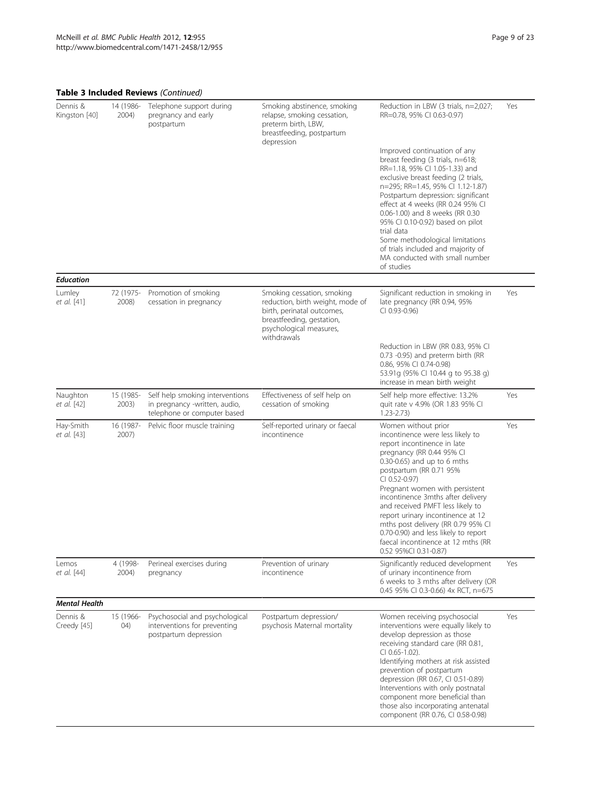|                           |                    | rapic 3 included neviews $\langle$ commutation                                                                                                                                                |                                                                                                                                                                     |                                                                                                                                                                                                                                                                                                                                                                                                                                                                                                    |     |
|---------------------------|--------------------|-----------------------------------------------------------------------------------------------------------------------------------------------------------------------------------------------|---------------------------------------------------------------------------------------------------------------------------------------------------------------------|----------------------------------------------------------------------------------------------------------------------------------------------------------------------------------------------------------------------------------------------------------------------------------------------------------------------------------------------------------------------------------------------------------------------------------------------------------------------------------------------------|-----|
| Dennis &<br>Kingston [40] | 14 (1986-<br>2004) | Smoking abstinence, smoking<br>Telephone support during<br>relapse, smoking cessation,<br>pregnancy and early<br>preterm birth, LBW,<br>postpartum<br>breastfeeding, postpartum<br>depression |                                                                                                                                                                     | Reduction in LBW (3 trials, n=2,027;<br>RR=0.78, 95% CI 0.63-0.97)                                                                                                                                                                                                                                                                                                                                                                                                                                 | Yes |
|                           |                    |                                                                                                                                                                                               |                                                                                                                                                                     | Improved continuation of any<br>breast feeding (3 trials, n=618;<br>RR=1.18, 95% CI 1.05-1.33) and<br>exclusive breast feeding (2 trials,<br>n=295; RR=1.45, 95% CI 1.12-1.87)<br>Postpartum depression: significant<br>effect at 4 weeks (RR 0.24 95% CI<br>0.06-1.00) and 8 weeks (RR 0.30<br>95% CI 0.10-0.92) based on pilot<br>trial data<br>Some methodological limitations<br>of trials included and majority of<br>MA conducted with small number<br>of studies                            |     |
| Education                 |                    |                                                                                                                                                                                               |                                                                                                                                                                     |                                                                                                                                                                                                                                                                                                                                                                                                                                                                                                    |     |
| Lumley<br>et al. [41]     | 72 (1975-<br>2008) | Promotion of smoking<br>cessation in pregnancy                                                                                                                                                | Smoking cessation, smoking<br>reduction, birth weight, mode of<br>birth, perinatal outcomes,<br>breastfeeding, gestation,<br>psychological measures,<br>withdrawals | Significant reduction in smoking in<br>late pregnancy (RR 0.94, 95%<br>CI 0.93-0.96)                                                                                                                                                                                                                                                                                                                                                                                                               | Yes |
|                           |                    |                                                                                                                                                                                               |                                                                                                                                                                     | Reduction in LBW (RR 0.83, 95% CI<br>0.73 -0.95) and preterm birth (RR<br>0.86, 95% CI 0.74-0.98)<br>53.91q (95% Cl 10.44 g to 95.38 g)<br>increase in mean birth weight                                                                                                                                                                                                                                                                                                                           |     |
| Naughton<br>et al. [42]   | 15 (1985-<br>2003) | Self help smoking interventions<br>in pregnancy -written, audio,<br>telephone or computer based                                                                                               | Effectiveness of self help on<br>cessation of smoking                                                                                                               | Self help more effective: 13.2%<br>quit rate v 4.9% (OR 1.83 95% CI<br>$1.23 - 2.73$                                                                                                                                                                                                                                                                                                                                                                                                               | Yes |
| Hay-Smith<br>et al. [43]  | 16 (1987-<br>2007) | Pelvic floor muscle training                                                                                                                                                                  | Self-reported urinary or faecal<br>incontinence                                                                                                                     | Women without prior<br>incontinence were less likely to<br>report incontinence in late<br>pregnancy (RR 0.44 95% CI<br>$0.30 - 0.65$ ) and up to 6 mths<br>postpartum (RR 0.71 95%<br>$Cl$ 0.52-0.97)<br>Pregnant women with persistent<br>incontinence 3mths after delivery<br>and received PMFT less likely to<br>report urinary incontinence at 12<br>mths post delivery (RR 0.79 95% CI<br>0.70-0.90) and less likely to report<br>faecal incontinence at 12 mths (RR<br>0.52 95%Cl 0.31-0.87) | Yes |
| Lemos<br>et al. [44]      | 4 (1998-<br>2004)  | Perineal exercises during<br>pregnancy                                                                                                                                                        | Prevention of urinary<br>incontinence                                                                                                                               | Significantly reduced development<br>of urinary incontinence from<br>6 weeks to 3 mths after delivery (OR<br>0.45 95% CI 0.3-0.66) 4x RCT, n=675                                                                                                                                                                                                                                                                                                                                                   | Yes |
| <b>Mental Health</b>      |                    |                                                                                                                                                                                               |                                                                                                                                                                     |                                                                                                                                                                                                                                                                                                                                                                                                                                                                                                    |     |
| Dennis &<br>Creedy [45]   | 15 (1966-<br>(04)  | Psychosocial and psychological<br>interventions for preventing<br>postpartum depression                                                                                                       | Postpartum depression/<br>psychosis Maternal mortality                                                                                                              | Women receiving psychosocial<br>interventions were equally likely to<br>develop depression as those<br>receiving standard care (RR 0.81,<br>$Cl$ 0.65-1.02).<br>Identifying mothers at risk assisted<br>prevention of postpartum<br>depression (RR 0.67, CI 0.51-0.89)<br>Interventions with only postnatal<br>component more beneficial than<br>those also incorporating antenatal<br>component (RR 0.76, CI 0.58-0.98)                                                                           | Yes |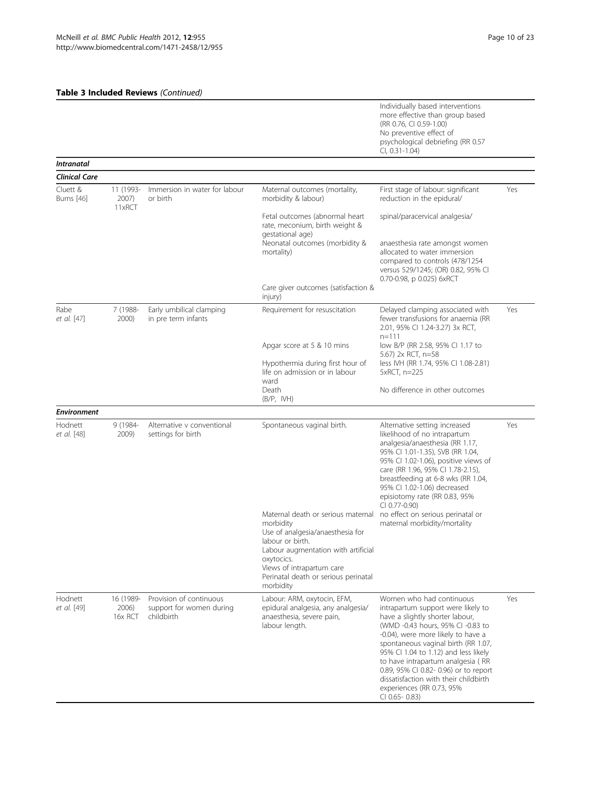|                                    |                               |                                                                   |                                                                                                                                                                                                                                                | Individually based interventions<br>more effective than group based<br>(RR 0.76, CI 0.59-1.00)<br>No preventive effect of<br>psychological debriefing (RR 0.57<br>$Cl, 0.31 - 1.04)$                                                                                                                                                                                                                                              |     |
|------------------------------------|-------------------------------|-------------------------------------------------------------------|------------------------------------------------------------------------------------------------------------------------------------------------------------------------------------------------------------------------------------------------|-----------------------------------------------------------------------------------------------------------------------------------------------------------------------------------------------------------------------------------------------------------------------------------------------------------------------------------------------------------------------------------------------------------------------------------|-----|
| Intranatal<br><b>Clinical Care</b> |                               |                                                                   |                                                                                                                                                                                                                                                |                                                                                                                                                                                                                                                                                                                                                                                                                                   |     |
| Cluett &<br><b>Burns</b> [46]      | 11 (1993-<br>2007)<br>11xRCT  | Immersion in water for labour<br>or birth                         | Maternal outcomes (mortality,<br>morbidity & labour)                                                                                                                                                                                           | First stage of labour: significant<br>reduction in the epidural/                                                                                                                                                                                                                                                                                                                                                                  | Yes |
|                                    |                               |                                                                   | Fetal outcomes (abnormal heart<br>rate, meconium, birth weight &<br>gestational age)                                                                                                                                                           | spinal/paracervical analgesia/                                                                                                                                                                                                                                                                                                                                                                                                    |     |
|                                    |                               |                                                                   | Neonatal outcomes (morbidity &<br>mortality)                                                                                                                                                                                                   | anaesthesia rate amongst women<br>allocated to water immersion<br>compared to controls (478/1254)<br>versus 529/1245; (OR) 0.82, 95% CI<br>0.70-0.98, p 0.025) 6xRCT                                                                                                                                                                                                                                                              |     |
|                                    |                               |                                                                   | Care giver outcomes (satisfaction &<br>injury)                                                                                                                                                                                                 |                                                                                                                                                                                                                                                                                                                                                                                                                                   |     |
| Rabe<br>et al. [47]                | 7 (1988-<br>2000)             | Early umbilical clamping<br>in pre term infants                   | Requirement for resuscitation                                                                                                                                                                                                                  | Delayed clamping associated with<br>fewer transfusions for anaemia (RR<br>2.01, 95% CI 1.24-3.27) 3x RCT,<br>$n=111$                                                                                                                                                                                                                                                                                                              | Yes |
|                                    |                               |                                                                   | Apgar score at 5 & 10 mins                                                                                                                                                                                                                     | low B/P (RR 2.58, 95% CI 1.17 to<br>5.67) 2x RCT, n=58                                                                                                                                                                                                                                                                                                                                                                            |     |
|                                    |                               |                                                                   | Hypothermia during first hour of<br>life on admission or in labour<br>ward                                                                                                                                                                     | less IVH (RR 1.74, 95% CI 1.08-2.81)<br>$5xRCT$ , $n=225$                                                                                                                                                                                                                                                                                                                                                                         |     |
|                                    |                               |                                                                   | Death<br>(B/P, IVH)                                                                                                                                                                                                                            | No difference in other outcomes                                                                                                                                                                                                                                                                                                                                                                                                   |     |
| <b>Environment</b>                 |                               |                                                                   |                                                                                                                                                                                                                                                |                                                                                                                                                                                                                                                                                                                                                                                                                                   |     |
| Hodnett<br>et al. [48]             | 9 (1984-<br>2009)             | Alternative v conventional<br>settings for birth                  | Spontaneous vaginal birth.                                                                                                                                                                                                                     | Alternative setting increased<br>likelihood of no intrapartum<br>analgesia/anaesthesia (RR 1.17,<br>95% CI 1.01-1.35), SVB (RR 1.04,<br>95% CI 1.02-1.06), positive views of<br>care (RR 1.96, 95% CI 1.78-2.15),<br>breastfeeding at 6-8 wks (RR 1.04,<br>95% CI 1.02-1.06) decreased<br>episiotomy rate (RR 0.83, 95%<br>$CI$ 0.77-0.90)                                                                                        | Yes |
|                                    |                               |                                                                   | Maternal death or serious maternal<br>morbidity<br>Use of analgesia/anaesthesia for<br>labour or birth.<br>Labour augmentation with artificial<br>oxytocics.<br>Views of intrapartum care<br>Perinatal death or serious perinatal<br>morbidity | no effect on serious perinatal or<br>maternal morbidity/mortality                                                                                                                                                                                                                                                                                                                                                                 |     |
| Hodnett<br>et al. [49]             | 16 (1989-<br>2006)<br>16x RCT | Provision of continuous<br>support for women during<br>childbirth | Labour: ARM, oxytocin, EFM,<br>epidural analgesia, any analgesia/<br>anaesthesia, severe pain,<br>labour length.                                                                                                                               | Women who had continuous<br>intrapartum support were likely to<br>have a slightly shorter labour,<br>(WMD -0.43 hours, 95% CI -0.83 to<br>-0.04), were more likely to have a<br>spontaneous vaginal birth (RR 1.07,<br>95% CI 1.04 to 1.12) and less likely<br>to have intrapartum analgesia (RR<br>0.89, 95% CI 0.82-0.96) or to report<br>dissatisfaction with their childbirth<br>experiences (RR 0.73, 95%<br>$Cl$ 0.65-0.83) | Yes |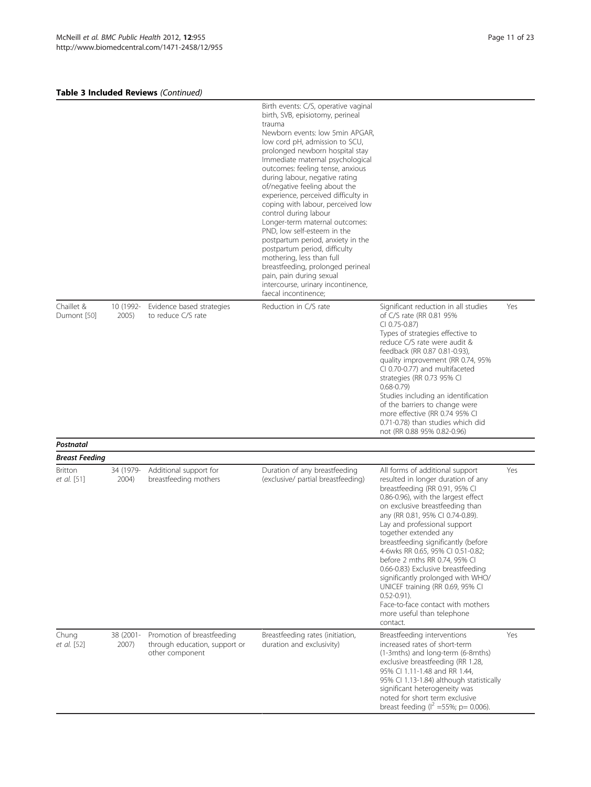|                               |                    |                                                                                | Birth events: C/S, operative vaginal<br>birth, SVB, episiotomy, perineal<br>trauma<br>Newborn events: low 5min APGAR,<br>low cord pH, admission to SCU,<br>prolonged newborn hospital stay<br>Immediate maternal psychological<br>outcomes: feeling tense, anxious<br>during labour, negative rating<br>of/negative feeling about the<br>experience, perceived difficulty in<br>coping with labour, perceived low<br>control during labour<br>Longer-term maternal outcomes:<br>PND, low self-esteem in the<br>postpartum period, anxiety in the<br>postpartum period, difficulty<br>mothering, less than full<br>breastfeeding, prolonged perineal<br>pain, pain during sexual<br>intercourse, urinary incontinence,<br>faecal incontinence; |                                                                                                                                                                                                                                                                                                                                                                                                                                                                                                                                                                                                               |     |
|-------------------------------|--------------------|--------------------------------------------------------------------------------|-----------------------------------------------------------------------------------------------------------------------------------------------------------------------------------------------------------------------------------------------------------------------------------------------------------------------------------------------------------------------------------------------------------------------------------------------------------------------------------------------------------------------------------------------------------------------------------------------------------------------------------------------------------------------------------------------------------------------------------------------|---------------------------------------------------------------------------------------------------------------------------------------------------------------------------------------------------------------------------------------------------------------------------------------------------------------------------------------------------------------------------------------------------------------------------------------------------------------------------------------------------------------------------------------------------------------------------------------------------------------|-----|
| Chaillet &<br>Dumont [50]     | 10 (1992-<br>2005) | Evidence based strategies<br>to reduce C/S rate                                | Reduction in C/S rate                                                                                                                                                                                                                                                                                                                                                                                                                                                                                                                                                                                                                                                                                                                         | Significant reduction in all studies<br>of C/S rate (RR 0.81 95%<br>$Cl$ 0.75-0.87)<br>Types of strategies effective to<br>reduce C/S rate were audit &<br>feedback (RR 0.87 0.81-0.93),<br>quality improvement (RR 0.74, 95%<br>CI 0.70-0.77) and multifaceted<br>strategies (RR 0.73 95% CI<br>$0.68 - 0.79$<br>Studies including an identification<br>of the barriers to change were<br>more effective (RR 0.74 95% CI<br>0.71-0.78) than studies which did<br>not (RR 0.88 95% 0.82-0.96)                                                                                                                 | Yes |
| Postnatal                     |                    |                                                                                |                                                                                                                                                                                                                                                                                                                                                                                                                                                                                                                                                                                                                                                                                                                                               |                                                                                                                                                                                                                                                                                                                                                                                                                                                                                                                                                                                                               |     |
| Breast Feeding                |                    |                                                                                |                                                                                                                                                                                                                                                                                                                                                                                                                                                                                                                                                                                                                                                                                                                                               |                                                                                                                                                                                                                                                                                                                                                                                                                                                                                                                                                                                                               |     |
| <b>Britton</b><br>et al. [51] | 34 (1979-<br>2004) | Additional support for<br>breastfeeding mothers                                | Duration of any breastfeeding<br>(exclusive/ partial breastfeeding)                                                                                                                                                                                                                                                                                                                                                                                                                                                                                                                                                                                                                                                                           | All forms of additional support<br>resulted in longer duration of any<br>breastfeeding (RR 0.91, 95% CI<br>0.86-0.96), with the largest effect<br>on exclusive breastfeeding than<br>any (RR 0.81, 95% CI 0.74-0.89).<br>Lay and professional support<br>together extended any<br>breastfeeding significantly (before<br>4-6wks RR 0.65, 95% CI 0.51-0.82;<br>before 2 mths RR 0.74, 95% CI<br>0.66-0.83) Exclusive breastfeeding<br>significantly prolonged with WHO/<br>UNICEF training (RR 0.69, 95% CI<br>$0.52 - 0.91$ ).<br>Face-to-face contact with mothers<br>more useful than telephone<br>contact. | Yes |
| Chung<br>et al. [52]          | 38 (2001-<br>2007) | Promotion of breastfeeding<br>through education, support or<br>other component | Breastfeeding rates (initiation,<br>duration and exclusivity)                                                                                                                                                                                                                                                                                                                                                                                                                                                                                                                                                                                                                                                                                 | Breastfeeding interventions<br>increased rates of short-term<br>(1-3mths) and long-term (6-8mths)<br>exclusive breastfeeding (RR 1.28,<br>95% CI 1.11-1.48 and RR 1.44,<br>95% CI 1.13-1.84) although statistically<br>significant heterogeneity was<br>noted for short term exclusive<br>breast feeding ( $I^2 = 55\%$ ; p= 0.006).                                                                                                                                                                                                                                                                          | Yes |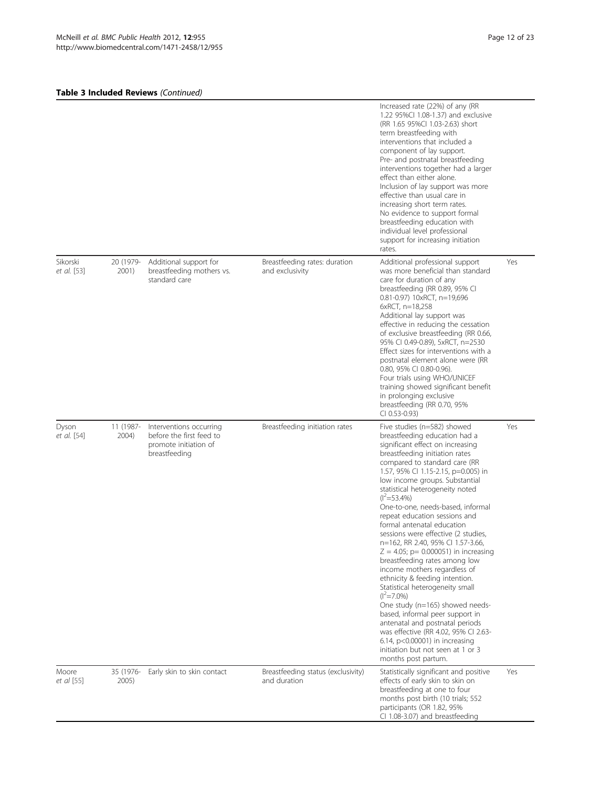|                         |                    |                                                                                               |                                                    | Increased rate (22%) of any (RR<br>1.22 95%Cl 1.08-1.37) and exclusive<br>(RR 1.65 95%CI 1.03-2.63) short<br>term breastfeeding with<br>interventions that included a<br>component of lay support.<br>Pre- and postnatal breastfeeding<br>interventions together had a larger<br>effect than either alone.<br>Inclusion of lay support was more<br>effective than usual care in<br>increasing short term rates.<br>No evidence to support formal<br>breastfeeding education with<br>individual level professional<br>support for increasing initiation<br>rates.                                                                                                                                                                                                                                                                                                                                                                        |     |
|-------------------------|--------------------|-----------------------------------------------------------------------------------------------|----------------------------------------------------|-----------------------------------------------------------------------------------------------------------------------------------------------------------------------------------------------------------------------------------------------------------------------------------------------------------------------------------------------------------------------------------------------------------------------------------------------------------------------------------------------------------------------------------------------------------------------------------------------------------------------------------------------------------------------------------------------------------------------------------------------------------------------------------------------------------------------------------------------------------------------------------------------------------------------------------------|-----|
| Sikorski<br>et al. [53] | 20 (1979-<br>2001) | Additional support for<br>breastfeeding mothers vs.<br>standard care                          | Breastfeeding rates: duration<br>and exclusivity   | Additional professional support<br>was more beneficial than standard<br>care for duration of any<br>breastfeeding (RR 0.89, 95% CI<br>0.81-0.97) 10xRCT, n=19,696<br>6xRCT, n=18,258<br>Additional lay support was<br>effective in reducing the cessation<br>of exclusive breastfeeding (RR 0.66,<br>95% CI 0.49-0.89), 5xRCT, n=2530<br>Effect sizes for interventions with a<br>postnatal element alone were (RR<br>0.80, 95% CI 0.80-0.96).<br>Four trials using WHO/UNICEF<br>training showed significant benefit<br>in prolonging exclusive<br>breastfeeding (RR 0.70, 95%<br>CI 0.53-0.93)                                                                                                                                                                                                                                                                                                                                        | Yes |
| Dyson<br>et al. [54]    | 11 (1987-<br>2004) | Interventions occurring<br>before the first feed to<br>promote initiation of<br>breastfeeding | Breastfeeding initiation rates                     | Five studies (n=582) showed<br>breastfeeding education had a<br>significant effect on increasing<br>breastfeeding initiation rates<br>compared to standard care (RR<br>1.57, 95% Cl 1.15-2.15, p=0.005) in<br>low income groups. Substantial<br>statistical heterogeneity noted<br>$(I^2 = 53.4\%)$<br>One-to-one, needs-based, informal<br>repeat education sessions and<br>formal antenatal education<br>sessions were effective (2 studies,<br>n=162, RR 2.40, 95% CI 1.57-3.66,<br>$Z = 4.05$ ; p= 0.000051) in increasing<br>breastfeeding rates among low<br>income mothers regardless of<br>ethnicity & feeding intention.<br>Statistical heterogeneity small<br>$(I^2=7.0\%)$<br>One study (n=165) showed needs-<br>based, informal peer support in<br>antenatal and postnatal periods<br>was effective (RR 4.02, 95% CI 2.63-<br>6.14, $p<0.00001$ ) in increasing<br>initiation but not seen at 1 or 3<br>months post partum. | Yes |
| Moore<br>et al [55]     | 35 (1976-<br>2005) | Early skin to skin contact                                                                    | Breastfeeding status (exclusivity)<br>and duration | Statistically significant and positive<br>effects of early skin to skin on<br>breastfeeding at one to four<br>months post birth (10 trials; 552<br>participants (OR 1.82, 95%<br>CI 1.08-3.07) and breastfeeding                                                                                                                                                                                                                                                                                                                                                                                                                                                                                                                                                                                                                                                                                                                        | Yes |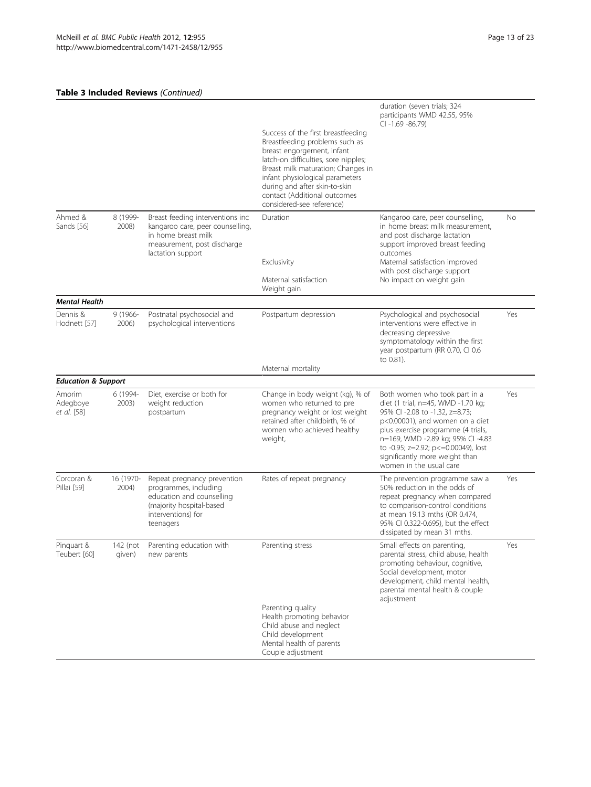|                                   |                    |                                                                                                                                                  |                                                                                                                                                                                                                                                                                                                   | duration (seven trials; 324<br>participants WMD 42.55, 95%<br>$Cl -1.69 -86.79$                                                                                                                                                                                                                                         |           |
|-----------------------------------|--------------------|--------------------------------------------------------------------------------------------------------------------------------------------------|-------------------------------------------------------------------------------------------------------------------------------------------------------------------------------------------------------------------------------------------------------------------------------------------------------------------|-------------------------------------------------------------------------------------------------------------------------------------------------------------------------------------------------------------------------------------------------------------------------------------------------------------------------|-----------|
|                                   |                    |                                                                                                                                                  | Success of the first breastfeeding<br>Breastfeeding problems such as<br>breast engorgement, infant<br>latch-on difficulties, sore nipples;<br>Breast milk maturation; Changes in<br>infant physiological parameters<br>during and after skin-to-skin<br>contact (Additional outcomes<br>considered-see reference) |                                                                                                                                                                                                                                                                                                                         |           |
| Ahmed &<br>Sands [56]             | 8 (1999-<br>2008)  | Breast feeding interventions inc<br>kangaroo care, peer counselling,<br>in home breast milk<br>measurement, post discharge<br>lactation support  | Duration<br>Exclusivity<br>Maternal satisfaction<br>Weight gain                                                                                                                                                                                                                                                   | Kangaroo care, peer counselling,<br>in home breast milk measurement,<br>and post discharge lactation<br>support improved breast feeding<br>outcomes<br>Maternal satisfaction improved<br>with post discharge support<br>No impact on weight gain                                                                        | <b>No</b> |
| <b>Mental Health</b>              |                    |                                                                                                                                                  |                                                                                                                                                                                                                                                                                                                   |                                                                                                                                                                                                                                                                                                                         |           |
| Dennis &<br>Hodnett [57]          | 9 (1966-<br>2006)  | Postnatal psychosocial and<br>psychological interventions                                                                                        | Postpartum depression                                                                                                                                                                                                                                                                                             | Psychological and psychosocial<br>interventions were effective in<br>decreasing depressive<br>symptomatology within the first<br>year postpartum (RR 0.70, CI 0.6<br>to 0.81).                                                                                                                                          | Yes       |
|                                   |                    |                                                                                                                                                  | Maternal mortality                                                                                                                                                                                                                                                                                                |                                                                                                                                                                                                                                                                                                                         |           |
| <b>Education &amp; Support</b>    |                    |                                                                                                                                                  |                                                                                                                                                                                                                                                                                                                   |                                                                                                                                                                                                                                                                                                                         |           |
| Amorim<br>Adegboye<br>et al. [58] | 6 (1994-<br>2003)  | Diet, exercise or both for<br>weight reduction<br>postpartum                                                                                     | Change in body weight (kg), % of<br>women who returned to pre<br>pregnancy weight or lost weight<br>retained after childbirth, % of<br>women who achieved healthy<br>weight,                                                                                                                                      | Both women who took part in a<br>diet (1 trial, n=45, WMD -1.70 kg;<br>95% CI -2.08 to -1.32, z=8.73;<br>p<0.00001), and women on a diet<br>plus exercise programme (4 trials,<br>n=169, WMD -2.89 kg; 95% Cl -4.83<br>to -0.95; z=2.92; p<=0.00049), lost<br>significantly more weight than<br>women in the usual care | Yes       |
| Corcoran &<br>Pillai [59]         | 16 (1970-<br>2004) | Repeat pregnancy prevention<br>programmes, including<br>education and counselling<br>(majority hospital-based<br>interventions) for<br>teenagers | Rates of repeat pregnancy                                                                                                                                                                                                                                                                                         | The prevention programme saw a<br>50% reduction in the odds of<br>repeat pregnancy when compared<br>to comparison-control conditions<br>at mean 19.13 mths (OR 0.474,<br>95% CI 0.322-0.695), but the effect<br>dissipated by mean 31 mths.                                                                             | Yes       |
| Pinquart &<br>Teubert [60]        | 142 (not<br>given) | Parenting education with<br>new parents                                                                                                          | Parenting stress<br>Parenting quality                                                                                                                                                                                                                                                                             | Small effects on parenting,<br>parental stress, child abuse, health<br>promoting behaviour, cognitive,<br>Social development, motor<br>development, child mental health,<br>parental mental health & couple<br>adjustment                                                                                               | Yes       |
|                                   |                    |                                                                                                                                                  | Health promoting behavior<br>Child abuse and neglect<br>Child development<br>Mental health of parents<br>Couple adjustment                                                                                                                                                                                        |                                                                                                                                                                                                                                                                                                                         |           |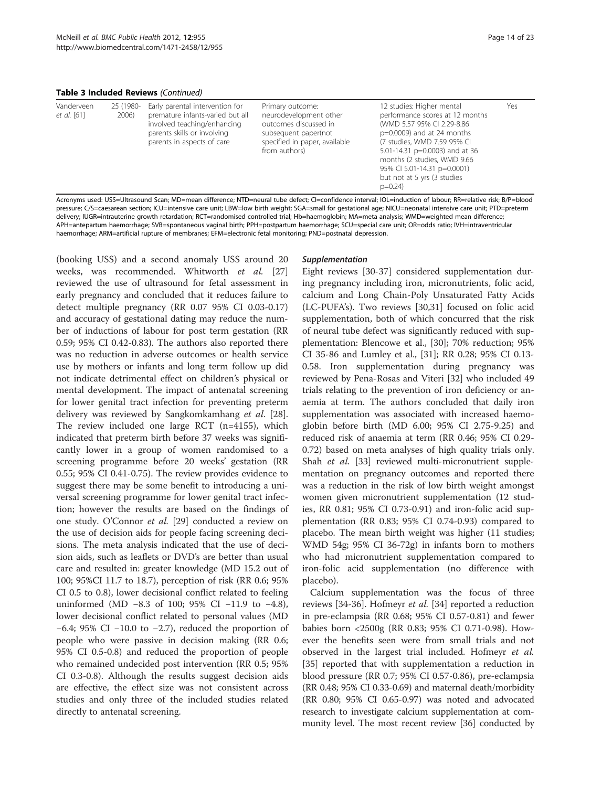| <b>Table 3 Included Reviews (Continued)</b> |
|---------------------------------------------|
|                                             |

| Vanderveen<br>Early parental intervention for<br>25 (1980-<br>Primary outcome:<br>premature infants-varied but all<br>neurodevelopment other<br>et al. [61]<br>2006)<br>involved teaching/enhancing<br>outcomes discussed in<br>parents skills or involving<br>subsequent paper(not<br>specified in paper, available<br>parents in aspects of care<br>from authors) | 12 studies: Higher mental<br>performance scores at 12 months<br>(WMD 5.57 95% CI 2.29-8.86)<br>$p=0.0009$ ) and at 24 months<br>(7 studies, WMD 7.59 95% CI<br>5.01-14.31 p=0.0003) and at 36<br>months (2 studies, WMD 9.66<br>95% CI 5.01-14.31 p=0.0001)<br>but not at 5 yrs (3 studies<br>$p=0.24$ | Yes |
|---------------------------------------------------------------------------------------------------------------------------------------------------------------------------------------------------------------------------------------------------------------------------------------------------------------------------------------------------------------------|--------------------------------------------------------------------------------------------------------------------------------------------------------------------------------------------------------------------------------------------------------------------------------------------------------|-----|
|---------------------------------------------------------------------------------------------------------------------------------------------------------------------------------------------------------------------------------------------------------------------------------------------------------------------------------------------------------------------|--------------------------------------------------------------------------------------------------------------------------------------------------------------------------------------------------------------------------------------------------------------------------------------------------------|-----|

Acronyms used: USS=Ultrasound Scan; MD=mean difference; NTD=neural tube defect; CI=confidence interval; IOL=induction of labour; RR=relative risk; B/P=blood pressure; C/S=caesarean section; ICU=intensive care unit; LBW=low birth weight; SGA=small for gestational age; NICU=neonatal intensive care unit; PTD=preterm delivery; IUGR=intrauterine growth retardation; RCT=randomised controlled trial; Hb=haemoglobin; MA=meta analysis; WMD=weighted mean difference; APH=antepartum haemorrhage; SVB=spontaneous vaginal birth; PPH=postpartum haemorrhage; SCU=special care unit; OR=odds ratio; IVH=intraventricular haemorrhage; ARM=artificial rupture of membranes; EFM=electronic fetal monitoring; PND=postnatal depression.

(booking USS) and a second anomaly USS around 20 weeks, was recommended. Whitworth et al. [[27](#page-21-0)] reviewed the use of ultrasound for fetal assessment in early pregnancy and concluded that it reduces failure to detect multiple pregnancy (RR 0.07 95% CI 0.03-0.17) and accuracy of gestational dating may reduce the number of inductions of labour for post term gestation (RR 0.59; 95% CI 0.42-0.83). The authors also reported there was no reduction in adverse outcomes or health service use by mothers or infants and long term follow up did not indicate detrimental effect on children's physical or mental development. The impact of antenatal screening for lower genital tract infection for preventing preterm delivery was reviewed by Sangkomkamhang et al. [\[28](#page-21-0)]. The review included one large RCT (n=4155), which indicated that preterm birth before 37 weeks was significantly lower in a group of women randomised to a screening programme before 20 weeks' gestation (RR 0.55; 95% CI 0.41-0.75). The review provides evidence to suggest there may be some benefit to introducing a universal screening programme for lower genital tract infection; however the results are based on the findings of one study. O'Connor et al. [\[29](#page-21-0)] conducted a review on the use of decision aids for people facing screening decisions. The meta analysis indicated that the use of decision aids, such as leaflets or DVD's are better than usual care and resulted in: greater knowledge (MD 15.2 out of 100; 95%CI 11.7 to 18.7), perception of risk (RR 0.6; 95% CI 0.5 to 0.8), lower decisional conflict related to feeling uninformed (MD −8.3 of 100; 95% CI −11.9 to −4.8), lower decisional conflict related to personal values (MD −6.4; 95% CI −10.0 to −2.7), reduced the proportion of people who were passive in decision making (RR 0.6; 95% CI 0.5-0.8) and reduced the proportion of people who remained undecided post intervention (RR 0.5; 95% CI 0.3-0.8). Although the results suggest decision aids are effective, the effect size was not consistent across studies and only three of the included studies related directly to antenatal screening.

#### Supplementation

Eight reviews [[30](#page-21-0)-[37\]](#page-21-0) considered supplementation during pregnancy including iron, micronutrients, folic acid, calcium and Long Chain-Poly Unsaturated Fatty Acids (LC-PUFA's). Two reviews [[30](#page-21-0),[31](#page-21-0)] focused on folic acid supplementation, both of which concurred that the risk of neural tube defect was significantly reduced with supplementation: Blencowe et al., [\[30\]](#page-21-0); 70% reduction; 95% CI 35-86 and Lumley et al., [\[31\]](#page-21-0); RR 0.28; 95% CI 0.13- 0.58. Iron supplementation during pregnancy was reviewed by Pena-Rosas and Viteri [[32\]](#page-21-0) who included 49 trials relating to the prevention of iron deficiency or anaemia at term. The authors concluded that daily iron supplementation was associated with increased haemoglobin before birth (MD 6.00; 95% CI 2.75-9.25) and reduced risk of anaemia at term (RR 0.46; 95% CI 0.29- 0.72) based on meta analyses of high quality trials only. Shah et al. [\[33\]](#page-21-0) reviewed multi-micronutrient supplementation on pregnancy outcomes and reported there was a reduction in the risk of low birth weight amongst women given micronutrient supplementation (12 studies, RR 0.81; 95% CI 0.73-0.91) and iron-folic acid supplementation (RR 0.83; 95% CI 0.74-0.93) compared to placebo. The mean birth weight was higher (11 studies; WMD 54g; 95% CI 36-72g) in infants born to mothers who had micronutrient supplementation compared to iron-folic acid supplementation (no difference with placebo).

Calcium supplementation was the focus of three reviews [\[34-36](#page-21-0)]. Hofmeyr *et al.* [\[34](#page-21-0)] reported a reduction in pre-eclampsia (RR 0.68; 95% CI 0.57-0.81) and fewer babies born <2500g (RR 0.83; 95% CI 0.71-0.98). However the benefits seen were from small trials and not observed in the largest trial included. Hofmeyr et al. [[35\]](#page-21-0) reported that with supplementation a reduction in blood pressure (RR 0.7; 95% CI 0.57-0.86), pre-eclampsia (RR 0.48; 95% CI 0.33-0.69) and maternal death/morbidity (RR 0.80; 95% CI 0.65-0.97) was noted and advocated research to investigate calcium supplementation at community level. The most recent review [[36](#page-21-0)] conducted by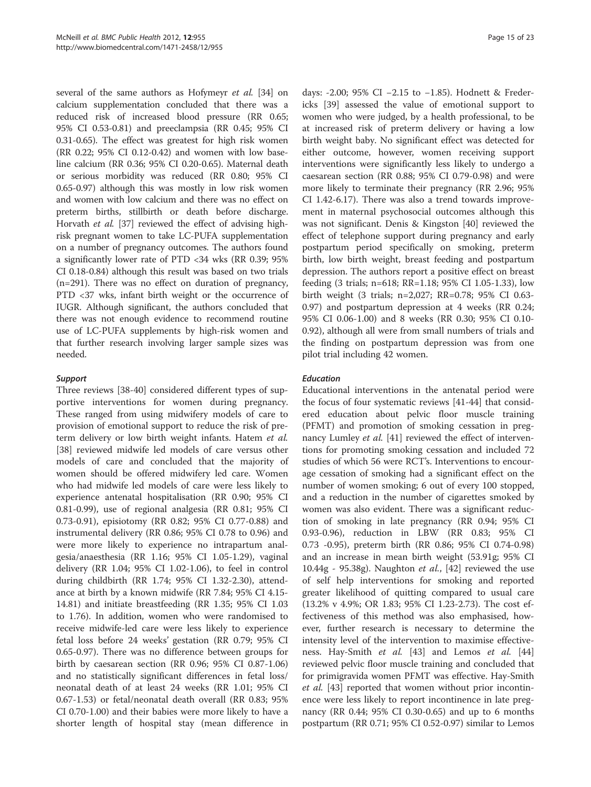several of the same authors as Hofymeyr et al. [\[34\]](#page-21-0) on calcium supplementation concluded that there was a reduced risk of increased blood pressure (RR 0.65; 95% CI 0.53-0.81) and preeclampsia (RR 0.45; 95% CI 0.31-0.65). The effect was greatest for high risk women (RR 0.22; 95% CI 0.12-0.42) and women with low baseline calcium (RR 0.36; 95% CI 0.20-0.65). Maternal death or serious morbidity was reduced (RR 0.80; 95% CI 0.65-0.97) although this was mostly in low risk women and women with low calcium and there was no effect on preterm births, stillbirth or death before discharge. Horvath et al. [\[37](#page-21-0)] reviewed the effect of advising highrisk pregnant women to take LC-PUFA supplementation on a number of pregnancy outcomes. The authors found a significantly lower rate of PTD <34 wks (RR 0.39; 95% CI 0.18-0.84) although this result was based on two trials (n=291). There was no effect on duration of pregnancy, PTD <37 wks, infant birth weight or the occurrence of IUGR. Although significant, the authors concluded that there was not enough evidence to recommend routine use of LC-PUFA supplements by high-risk women and that further research involving larger sample sizes was needed.

## Support

Three reviews [\[38](#page-21-0)-[40\]](#page-21-0) considered different types of supportive interventions for women during pregnancy. These ranged from using midwifery models of care to provision of emotional support to reduce the risk of preterm delivery or low birth weight infants. Hatem et al. [[38\]](#page-21-0) reviewed midwife led models of care versus other models of care and concluded that the majority of women should be offered midwifery led care. Women who had midwife led models of care were less likely to experience antenatal hospitalisation (RR 0.90; 95% CI 0.81-0.99), use of regional analgesia (RR 0.81; 95% CI 0.73-0.91), episiotomy (RR 0.82; 95% CI 0.77-0.88) and instrumental delivery (RR 0.86; 95% CI 0.78 to 0.96) and were more likely to experience no intrapartum analgesia/anaesthesia (RR 1.16; 95% CI 1.05-1.29), vaginal delivery (RR 1.04; 95% CI 1.02-1.06), to feel in control during childbirth (RR 1.74; 95% CI 1.32-2.30), attendance at birth by a known midwife (RR 7.84; 95% CI 4.15- 14.81) and initiate breastfeeding (RR 1.35; 95% CI 1.03 to 1.76). In addition, women who were randomised to receive midwife-led care were less likely to experience fetal loss before 24 weeks' gestation (RR 0.79; 95% CI 0.65-0.97). There was no difference between groups for birth by caesarean section (RR 0.96; 95% CI 0.87-1.06) and no statistically significant differences in fetal loss/ neonatal death of at least 24 weeks (RR 1.01; 95% CI 0.67-1.53) or fetal/neonatal death overall (RR 0.83; 95% CI 0.70-1.00) and their babies were more likely to have a shorter length of hospital stay (mean difference in

days: -2.00; 95% CI −2.15 to −1.85). Hodnett & Fredericks [\[39](#page-21-0)] assessed the value of emotional support to women who were judged, by a health professional, to be at increased risk of preterm delivery or having a low birth weight baby. No significant effect was detected for either outcome, however, women receiving support interventions were significantly less likely to undergo a caesarean section (RR 0.88; 95% CI 0.79-0.98) and were more likely to terminate their pregnancy (RR 2.96; 95% CI 1.42-6.17). There was also a trend towards improvement in maternal psychosocial outcomes although this was not significant. Denis & Kingston [\[40](#page-21-0)] reviewed the effect of telephone support during pregnancy and early postpartum period specifically on smoking, preterm birth, low birth weight, breast feeding and postpartum depression. The authors report a positive effect on breast feeding (3 trials; n=618; RR=1.18; 95% CI 1.05-1.33), low birth weight (3 trials; n=2,027; RR=0.78; 95% CI 0.63- 0.97) and postpartum depression at 4 weeks (RR 0.24; 95% CI 0.06-1.00) and 8 weeks (RR 0.30; 95% CI 0.10- 0.92), although all were from small numbers of trials and the finding on postpartum depression was from one pilot trial including 42 women.

## Education

Educational interventions in the antenatal period were the focus of four systematic reviews [\[41](#page-21-0)-[44\]](#page-21-0) that considered education about pelvic floor muscle training (PFMT) and promotion of smoking cessation in pregnancy Lumley *et al.* [[41\]](#page-21-0) reviewed the effect of interventions for promoting smoking cessation and included 72 studies of which 56 were RCT's. Interventions to encourage cessation of smoking had a significant effect on the number of women smoking; 6 out of every 100 stopped, and a reduction in the number of cigarettes smoked by women was also evident. There was a significant reduction of smoking in late pregnancy (RR 0.94; 95% CI 0.93-0.96), reduction in LBW (RR 0.83; 95% CI 0.73 -0.95), preterm birth (RR 0.86; 95% CI 0.74-0.98) and an increase in mean birth weight (53.91g; 95% CI 10.44g - 95.38g). Naughton *et al.*, [\[42\]](#page-21-0) reviewed the use of self help interventions for smoking and reported greater likelihood of quitting compared to usual care (13.2% v 4.9%; OR 1.83; 95% CI 1.23-2.73). The cost effectiveness of this method was also emphasised, however, further research is necessary to determine the intensity level of the intervention to maximise effectiveness. Hay-Smith *et al.* [[43\]](#page-21-0) and Lemos *et al.* [[44](#page-21-0)] reviewed pelvic floor muscle training and concluded that for primigravida women PFMT was effective. Hay-Smith et al. [[43\]](#page-21-0) reported that women without prior incontinence were less likely to report incontinence in late pregnancy (RR 0.44; 95% CI 0.30-0.65) and up to 6 months postpartum (RR 0.71; 95% CI 0.52-0.97) similar to Lemos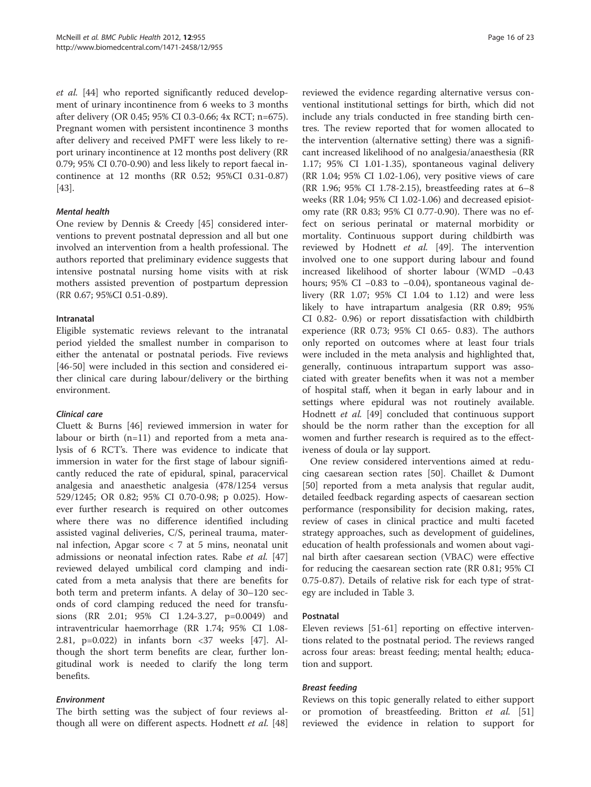et al. [\[44](#page-21-0)] who reported significantly reduced development of urinary incontinence from 6 weeks to 3 months after delivery (OR 0.45; 95% CI 0.3-0.66; 4x RCT; n=675). Pregnant women with persistent incontinence 3 months after delivery and received PMFT were less likely to report urinary incontinence at 12 months post delivery (RR 0.79; 95% CI 0.70-0.90) and less likely to report faecal incontinence at 12 months (RR 0.52; 95%CI 0.31-0.87) [[43\]](#page-21-0).

#### Mental health

One review by Dennis & Creedy [[45](#page-21-0)] considered interventions to prevent postnatal depression and all but one involved an intervention from a health professional. The authors reported that preliminary evidence suggests that intensive postnatal nursing home visits with at risk mothers assisted prevention of postpartum depression (RR 0.67; 95%CI 0.51-0.89).

#### Intranatal

Eligible systematic reviews relevant to the intranatal period yielded the smallest number in comparison to either the antenatal or postnatal periods. Five reviews [[46-50](#page-21-0)] were included in this section and considered either clinical care during labour/delivery or the birthing environment.

#### Clinical care

Cluett & Burns [[46\]](#page-21-0) reviewed immersion in water for labour or birth (n=11) and reported from a meta analysis of 6 RCT's. There was evidence to indicate that immersion in water for the first stage of labour significantly reduced the rate of epidural, spinal, paracervical analgesia and anaesthetic analgesia (478/1254 versus 529/1245; OR 0.82; 95% CI 0.70-0.98; p 0.025). However further research is required on other outcomes where there was no difference identified including assisted vaginal deliveries, C/S, perineal trauma, maternal infection, Apgar score < 7 at 5 mins, neonatal unit admissions or neonatal infection rates. Rabe et al. [[47](#page-21-0)] reviewed delayed umbilical cord clamping and indicated from a meta analysis that there are benefits for both term and preterm infants. A delay of 30–120 seconds of cord clamping reduced the need for transfusions (RR 2.01; 95% CI 1.24-3.27, p=0.0049) and intraventricular haemorrhage (RR 1.74; 95% CI 1.08- 2.81, p=0.022) in infants born <37 weeks [[47](#page-21-0)]. Although the short term benefits are clear, further longitudinal work is needed to clarify the long term benefits.

#### Environment

The birth setting was the subject of four reviews al-though all were on different aspects. Hodnett et al. [[48](#page-21-0)]

reviewed the evidence regarding alternative versus conventional institutional settings for birth, which did not include any trials conducted in free standing birth centres. The review reported that for women allocated to the intervention (alternative setting) there was a significant increased likelihood of no analgesia/anaesthesia (RR 1.17; 95% CI 1.01-1.35), spontaneous vaginal delivery (RR 1.04; 95% CI 1.02-1.06), very positive views of care (RR 1.96; 95% CI 1.78-2.15), breastfeeding rates at 6–8 weeks (RR 1.04; 95% CI 1.02-1.06) and decreased episiotomy rate (RR 0.83; 95% CI 0.77-0.90). There was no effect on serious perinatal or maternal morbidity or mortality. Continuous support during childbirth was reviewed by Hodnett et al. [\[49](#page-21-0)]. The intervention involved one to one support during labour and found increased likelihood of shorter labour (WMD −0.43 hours; 95% CI −0.83 to −0.04), spontaneous vaginal delivery (RR 1.07; 95% CI 1.04 to 1.12) and were less likely to have intrapartum analgesia (RR 0.89; 95% CI 0.82- 0.96) or report dissatisfaction with childbirth experience (RR 0.73; 95% CI 0.65- 0.83). The authors only reported on outcomes where at least four trials were included in the meta analysis and highlighted that, generally, continuous intrapartum support was associated with greater benefits when it was not a member of hospital staff, when it began in early labour and in settings where epidural was not routinely available. Hodnett et al. [[49\]](#page-21-0) concluded that continuous support should be the norm rather than the exception for all women and further research is required as to the effectiveness of doula or lay support.

One review considered interventions aimed at reducing caesarean section rates [\[50\]](#page-21-0). Chaillet & Dumont [[50\]](#page-21-0) reported from a meta analysis that regular audit, detailed feedback regarding aspects of caesarean section performance (responsibility for decision making, rates, review of cases in clinical practice and multi faceted strategy approaches, such as development of guidelines, education of health professionals and women about vaginal birth after caesarean section (VBAC) were effective for reducing the caesarean section rate (RR 0.81; 95% CI 0.75-0.87). Details of relative risk for each type of strategy are included in Table [3](#page-5-0).

#### Postnatal

Eleven reviews [\[51](#page-21-0)-[61](#page-22-0)] reporting on effective interventions related to the postnatal period. The reviews ranged across four areas: breast feeding; mental health; education and support.

## Breast feeding

Reviews on this topic generally related to either support or promotion of breastfeeding. Britton et al. [[51](#page-21-0)] reviewed the evidence in relation to support for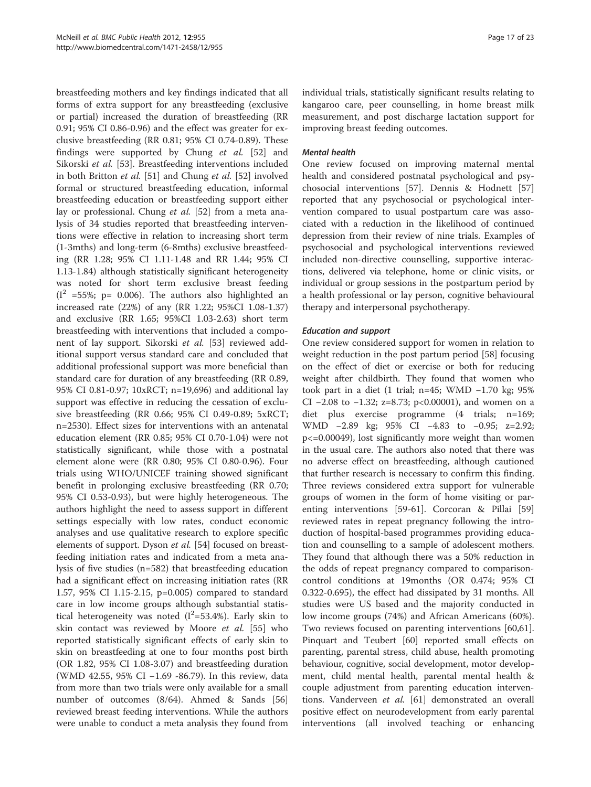breastfeeding mothers and key findings indicated that all forms of extra support for any breastfeeding (exclusive or partial) increased the duration of breastfeeding (RR 0.91; 95% CI 0.86-0.96) and the effect was greater for exclusive breastfeeding (RR 0.81; 95% CI 0.74-0.89). These findings were supported by Chung et al. [[52](#page-21-0)] and Sikorski et al. [[53\]](#page-21-0). Breastfeeding interventions included in both Britton et al. [[51](#page-21-0)] and Chung et al. [\[52\]](#page-21-0) involved formal or structured breastfeeding education, informal breastfeeding education or breastfeeding support either lay or professional. Chung et al. [[52](#page-21-0)] from a meta analysis of 34 studies reported that breastfeeding interventions were effective in relation to increasing short term (1-3mths) and long-term (6-8mths) exclusive breastfeeding (RR 1.28; 95% CI 1.11-1.48 and RR 1.44; 95% CI 1.13-1.84) although statistically significant heterogeneity was noted for short term exclusive breast feeding  $(I<sup>2</sup> = 55\%;$  p= 0.006). The authors also highlighted an increased rate (22%) of any (RR 1.22; 95%CI 1.08-1.37) and exclusive (RR 1.65; 95%CI 1.03-2.63) short term breastfeeding with interventions that included a component of lay support. Sikorski et al. [[53\]](#page-21-0) reviewed additional support versus standard care and concluded that additional professional support was more beneficial than standard care for duration of any breastfeeding (RR 0.89, 95% CI 0.81-0.97; 10xRCT; n=19,696) and additional lay support was effective in reducing the cessation of exclusive breastfeeding (RR 0.66; 95% CI 0.49-0.89; 5xRCT; n=2530). Effect sizes for interventions with an antenatal education element (RR 0.85; 95% CI 0.70-1.04) were not statistically significant, while those with a postnatal element alone were (RR 0.80; 95% CI 0.80-0.96). Four trials using WHO/UNICEF training showed significant benefit in prolonging exclusive breastfeeding (RR 0.70; 95% CI 0.53-0.93), but were highly heterogeneous. The authors highlight the need to assess support in different settings especially with low rates, conduct economic analyses and use qualitative research to explore specific elements of support. Dyson et al. [\[54\]](#page-21-0) focused on breastfeeding initiation rates and indicated from a meta analysis of five studies (n=582) that breastfeeding education had a significant effect on increasing initiation rates (RR 1.57, 95% CI 1.15-2.15, p=0.005) compared to standard care in low income groups although substantial statistical heterogeneity was noted  $(I^2=53.4\%)$ . Early skin to skin contact was reviewed by Moore et al. [[55\]](#page-21-0) who reported statistically significant effects of early skin to skin on breastfeeding at one to four months post birth (OR 1.82, 95% CI 1.08-3.07) and breastfeeding duration (WMD 42.55, 95% CI −1.69 -86.79). In this review, data from more than two trials were only available for a small number of outcomes (8/64). Ahmed & Sands [[56](#page-21-0)] reviewed breast feeding interventions. While the authors were unable to conduct a meta analysis they found from

individual trials, statistically significant results relating to kangaroo care, peer counselling, in home breast milk measurement, and post discharge lactation support for improving breast feeding outcomes.

## Mental health

One review focused on improving maternal mental health and considered postnatal psychological and psychosocial interventions [\[57\]](#page-21-0). Dennis & Hodnett [[57](#page-21-0)] reported that any psychosocial or psychological intervention compared to usual postpartum care was associated with a reduction in the likelihood of continued depression from their review of nine trials. Examples of psychosocial and psychological interventions reviewed included non-directive counselling, supportive interactions, delivered via telephone, home or clinic visits, or individual or group sessions in the postpartum period by a health professional or lay person, cognitive behavioural therapy and interpersonal psychotherapy.

## Education and support

One review considered support for women in relation to weight reduction in the post partum period [[58](#page-22-0)] focusing on the effect of diet or exercise or both for reducing weight after childbirth. They found that women who took part in a diet (1 trial; n=45; WMD −1.70 kg; 95% CI −2.08 to −1.32; z=8.73; p<0.00001), and women on a diet plus exercise programme (4 trials; n=169; WMD −2.89 kg; 95% CI −4.83 to −0.95; z=2.92; p<=0.00049), lost significantly more weight than women in the usual care. The authors also noted that there was no adverse effect on breastfeeding, although cautioned that further research is necessary to confirm this finding. Three reviews considered extra support for vulnerable groups of women in the form of home visiting or parenting interventions [\[59-61](#page-22-0)]. Corcoran & Pillai [[59](#page-22-0)] reviewed rates in repeat pregnancy following the introduction of hospital-based programmes providing education and counselling to a sample of adolescent mothers. They found that although there was a 50% reduction in the odds of repeat pregnancy compared to comparisoncontrol conditions at 19months (OR 0.474; 95% CI 0.322-0.695), the effect had dissipated by 31 months. All studies were US based and the majority conducted in low income groups (74%) and African Americans (60%). Two reviews focused on parenting interventions [\[60,61](#page-22-0)]. Pinquart and Teubert [[60\]](#page-22-0) reported small effects on parenting, parental stress, child abuse, health promoting behaviour, cognitive, social development, motor development, child mental health, parental mental health & couple adjustment from parenting education interventions. Vanderveen *et al.* [[61\]](#page-22-0) demonstrated an overall positive effect on neurodevelopment from early parental interventions (all involved teaching or enhancing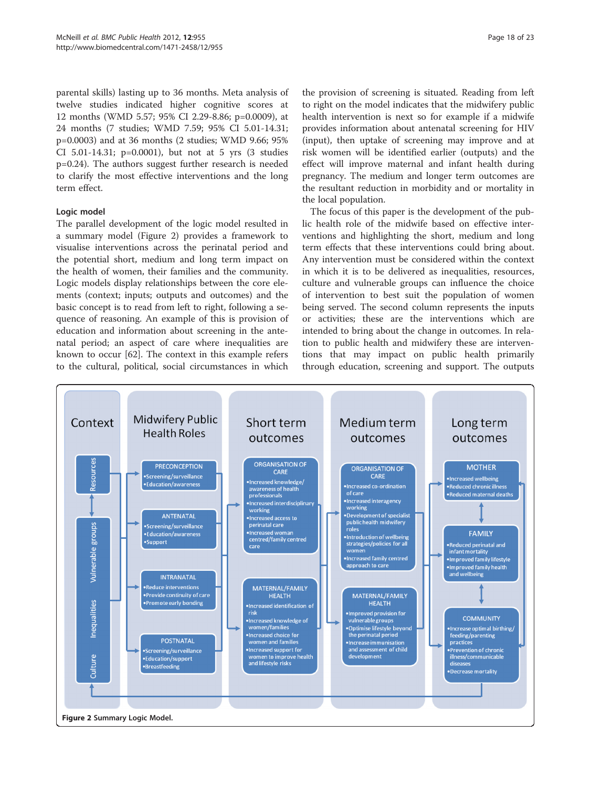<span id="page-17-0"></span>parental skills) lasting up to 36 months. Meta analysis of twelve studies indicated higher cognitive scores at 12 months (WMD 5.57; 95% CI 2.29-8.86; p=0.0009), at 24 months (7 studies; WMD 7.59; 95% CI 5.01-14.31; p=0.0003) and at 36 months (2 studies; WMD 9.66; 95% CI 5.01-14.31; p=0.0001), but not at 5 yrs (3 studies p=0.24). The authors suggest further research is needed to clarify the most effective interventions and the long term effect.

#### Logic model

The parallel development of the logic model resulted in a summary model (Figure 2) provides a framework to visualise interventions across the perinatal period and the potential short, medium and long term impact on the health of women, their families and the community. Logic models display relationships between the core elements (context; inputs; outputs and outcomes) and the basic concept is to read from left to right, following a sequence of reasoning. An example of this is provision of education and information about screening in the antenatal period; an aspect of care where inequalities are known to occur [[62\]](#page-22-0). The context in this example refers to the cultural, political, social circumstances in which

the provision of screening is situated. Reading from left to right on the model indicates that the midwifery public health intervention is next so for example if a midwife provides information about antenatal screening for HIV (input), then uptake of screening may improve and at risk women will be identified earlier (outputs) and the effect will improve maternal and infant health during pregnancy. The medium and longer term outcomes are the resultant reduction in morbidity and or mortality in the local population.

The focus of this paper is the development of the public health role of the midwife based on effective interventions and highlighting the short, medium and long term effects that these interventions could bring about. Any intervention must be considered within the context in which it is to be delivered as inequalities, resources, culture and vulnerable groups can influence the choice of intervention to best suit the population of women being served. The second column represents the inputs or activities; these are the interventions which are intended to bring about the change in outcomes. In relation to public health and midwifery these are interventions that may impact on public health primarily through education, screening and support. The outputs

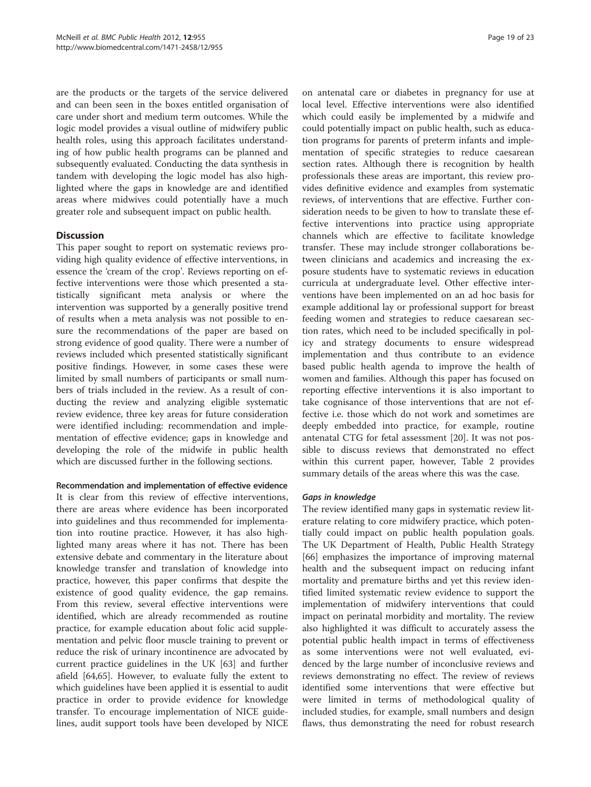are the products or the targets of the service delivered and can been seen in the boxes entitled organisation of care under short and medium term outcomes. While the logic model provides a visual outline of midwifery public health roles, using this approach facilitates understanding of how public health programs can be planned and subsequently evaluated. Conducting the data synthesis in tandem with developing the logic model has also highlighted where the gaps in knowledge are and identified areas where midwives could potentially have a much greater role and subsequent impact on public health.

## **Discussion**

This paper sought to report on systematic reviews providing high quality evidence of effective interventions, in essence the 'cream of the crop'. Reviews reporting on effective interventions were those which presented a statistically significant meta analysis or where the intervention was supported by a generally positive trend of results when a meta analysis was not possible to ensure the recommendations of the paper are based on strong evidence of good quality. There were a number of reviews included which presented statistically significant positive findings. However, in some cases these were limited by small numbers of participants or small numbers of trials included in the review. As a result of conducting the review and analyzing eligible systematic review evidence, three key areas for future consideration were identified including: recommendation and implementation of effective evidence; gaps in knowledge and developing the role of the midwife in public health which are discussed further in the following sections.

## Recommendation and implementation of effective evidence

It is clear from this review of effective interventions, there are areas where evidence has been incorporated into guidelines and thus recommended for implementation into routine practice. However, it has also highlighted many areas where it has not. There has been extensive debate and commentary in the literature about knowledge transfer and translation of knowledge into practice, however, this paper confirms that despite the existence of good quality evidence, the gap remains. From this review, several effective interventions were identified, which are already recommended as routine practice, for example education about folic acid supplementation and pelvic floor muscle training to prevent or reduce the risk of urinary incontinence are advocated by current practice guidelines in the UK [[63\]](#page-22-0) and further afield [[64](#page-22-0),[65](#page-22-0)]. However, to evaluate fully the extent to which guidelines have been applied it is essential to audit practice in order to provide evidence for knowledge transfer. To encourage implementation of NICE guidelines, audit support tools have been developed by NICE

on antenatal care or diabetes in pregnancy for use at local level. Effective interventions were also identified which could easily be implemented by a midwife and could potentially impact on public health, such as education programs for parents of preterm infants and implementation of specific strategies to reduce caesarean section rates. Although there is recognition by health professionals these areas are important, this review provides definitive evidence and examples from systematic reviews, of interventions that are effective. Further consideration needs to be given to how to translate these effective interventions into practice using appropriate channels which are effective to facilitate knowledge transfer. These may include stronger collaborations between clinicians and academics and increasing the exposure students have to systematic reviews in education curricula at undergraduate level. Other effective interventions have been implemented on an ad hoc basis for example additional lay or professional support for breast feeding women and strategies to reduce caesarean section rates, which need to be included specifically in policy and strategy documents to ensure widespread implementation and thus contribute to an evidence based public health agenda to improve the health of women and families. Although this paper has focused on reporting effective interventions it is also important to take cognisance of those interventions that are not effective i.e. those which do not work and sometimes are deeply embedded into practice, for example, routine antenatal CTG for fetal assessment [[20\]](#page-21-0). It was not possible to discuss reviews that demonstrated no effect within this current paper, however, Table [2](#page-3-0) provides summary details of the areas where this was the case.

#### Gaps in knowledge

The review identified many gaps in systematic review literature relating to core midwifery practice, which potentially could impact on public health population goals. The UK Department of Health, Public Health Strategy [[66\]](#page-22-0) emphasizes the importance of improving maternal health and the subsequent impact on reducing infant mortality and premature births and yet this review identified limited systematic review evidence to support the implementation of midwifery interventions that could impact on perinatal morbidity and mortality. The review also highlighted it was difficult to accurately assess the potential public health impact in terms of effectiveness as some interventions were not well evaluated, evidenced by the large number of inconclusive reviews and reviews demonstrating no effect. The review of reviews identified some interventions that were effective but were limited in terms of methodological quality of included studies, for example, small numbers and design flaws, thus demonstrating the need for robust research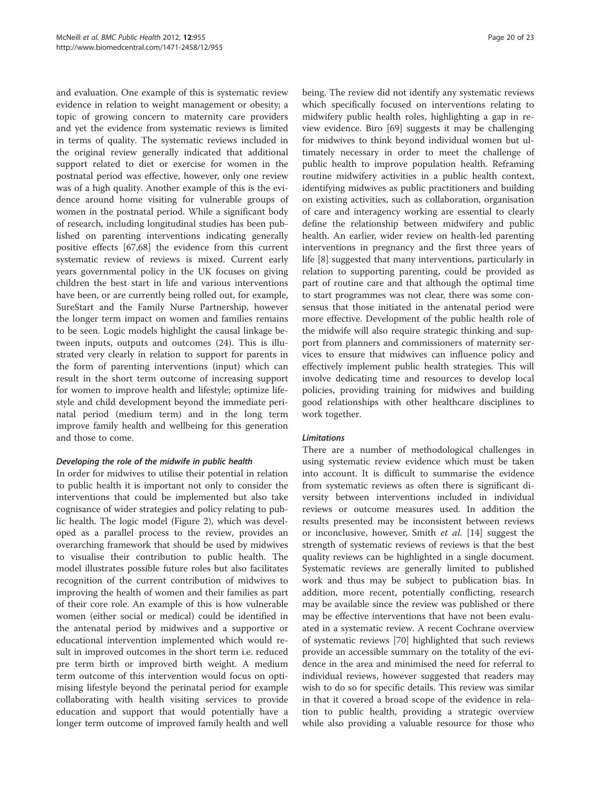and evaluation. One example of this is systematic review evidence in relation to weight management or obesity; a topic of growing concern to maternity care providers and yet the evidence from systematic reviews is limited in terms of quality. The systematic reviews included in the original review generally indicated that additional support related to diet or exercise for women in the postnatal period was effective, however, only one review was of a high quality. Another example of this is the evidence around home visiting for vulnerable groups of women in the postnatal period. While a significant body of research, including longitudinal studies has been published on parenting interventions indicating generally positive effects [\[67,68](#page-22-0)] the evidence from this current systematic review of reviews is mixed. Current early years governmental policy in the UK focuses on giving children the best start in life and various interventions have been, or are currently being rolled out, for example, SureStart and the Family Nurse Partnership, however the longer term impact on women and families remains to be seen. Logic models highlight the causal linkage between inputs, outputs and outcomes (24). This is illustrated very clearly in relation to support for parents in the form of parenting interventions (input) which can result in the short term outcome of increasing support for women to improve health and lifestyle; optimize lifestyle and child development beyond the immediate perinatal period (medium term) and in the long term improve family health and wellbeing for this generation and those to come.

## Developing the role of the midwife in public health

In order for midwives to utilise their potential in relation to public health it is important not only to consider the interventions that could be implemented but also take cognisance of wider strategies and policy relating to public health. The logic model (Figure [2](#page-17-0)), which was developed as a parallel process to the review, provides an overarching framework that should be used by midwives to visualise their contribution to public health. The model illustrates possible future roles but also facilitates recognition of the current contribution of midwives to improving the health of women and their families as part of their core role. An example of this is how vulnerable women (either social or medical) could be identified in the antenatal period by midwives and a supportive or educational intervention implemented which would result in improved outcomes in the short term i.e. reduced pre term birth or improved birth weight. A medium term outcome of this intervention would focus on optimising lifestyle beyond the perinatal period for example collaborating with health visiting services to provide education and support that would potentially have a longer term outcome of improved family health and well being. The review did not identify any systematic reviews which specifically focused on interventions relating to midwifery public health roles, highlighting a gap in review evidence. Biro [[69\]](#page-22-0) suggests it may be challenging for midwives to think beyond individual women but ultimately necessary in order to meet the challenge of public health to improve population health. Reframing routine midwifery activities in a public health context, identifying midwives as public practitioners and building on existing activities, such as collaboration, organisation of care and interagency working are essential to clearly define the relationship between midwifery and public health. An earlier, wider review on health-led parenting interventions in pregnancy and the first three years of life [\[8](#page-20-0)] suggested that many interventions, particularly in relation to supporting parenting, could be provided as part of routine care and that although the optimal time to start programmes was not clear, there was some consensus that those initiated in the antenatal period were more effective. Development of the public health role of the midwife will also require strategic thinking and support from planners and commissioners of maternity services to ensure that midwives can influence policy and effectively implement public health strategies. This will involve dedicating time and resources to develop local policies, providing training for midwives and building good relationships with other healthcare disciplines to work together.

## Limitations

There are a number of methodological challenges in using systematic review evidence which must be taken into account. It is difficult to summarise the evidence from systematic reviews as often there is significant diversity between interventions included in individual reviews or outcome measures used. In addition the results presented may be inconsistent between reviews or inconclusive, however, Smith et al. [[14\]](#page-21-0) suggest the strength of systematic reviews of reviews is that the best quality reviews can be highlighted in a single document. Systematic reviews are generally limited to published work and thus may be subject to publication bias. In addition, more recent, potentially conflicting, research may be available since the review was published or there may be effective interventions that have not been evaluated in a systematic review. A recent Cochrane overview of systematic reviews [[70](#page-22-0)] highlighted that such reviews provide an accessible summary on the totality of the evidence in the area and minimised the need for referral to individual reviews, however suggested that readers may wish to do so for specific details. This review was similar in that it covered a broad scope of the evidence in relation to public health, providing a strategic overview while also providing a valuable resource for those who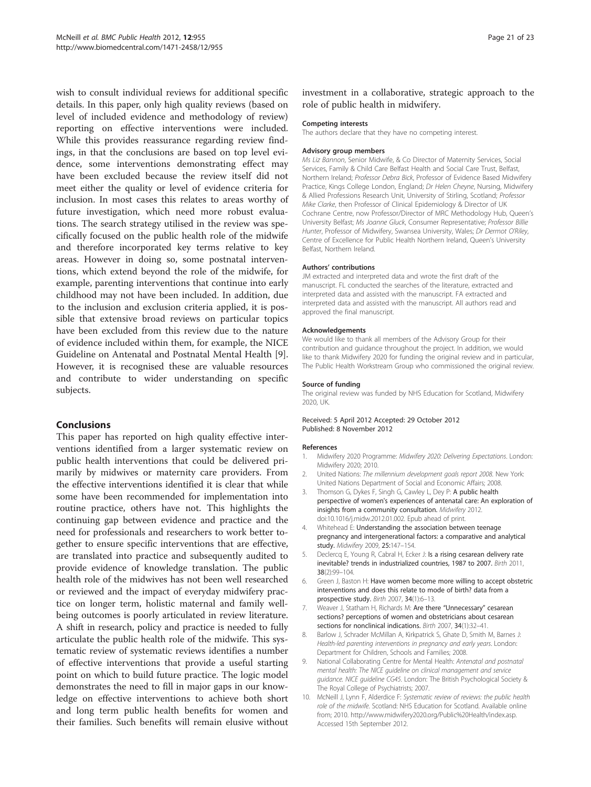<span id="page-20-0"></span>wish to consult individual reviews for additional specific details. In this paper, only high quality reviews (based on level of included evidence and methodology of review) reporting on effective interventions were included. While this provides reassurance regarding review findings, in that the conclusions are based on top level evidence, some interventions demonstrating effect may have been excluded because the review itself did not meet either the quality or level of evidence criteria for inclusion. In most cases this relates to areas worthy of future investigation, which need more robust evaluations. The search strategy utilised in the review was specifically focused on the public health role of the midwife and therefore incorporated key terms relative to key areas. However in doing so, some postnatal interventions, which extend beyond the role of the midwife, for example, parenting interventions that continue into early childhood may not have been included. In addition, due to the inclusion and exclusion criteria applied, it is possible that extensive broad reviews on particular topics have been excluded from this review due to the nature of evidence included within them, for example, the NICE Guideline on Antenatal and Postnatal Mental Health [9]. However, it is recognised these are valuable resources and contribute to wider understanding on specific subjects.

## Conclusions

This paper has reported on high quality effective interventions identified from a larger systematic review on public health interventions that could be delivered primarily by midwives or maternity care providers. From the effective interventions identified it is clear that while some have been recommended for implementation into routine practice, others have not. This highlights the continuing gap between evidence and practice and the need for professionals and researchers to work better together to ensure specific interventions that are effective, are translated into practice and subsequently audited to provide evidence of knowledge translation. The public health role of the midwives has not been well researched or reviewed and the impact of everyday midwifery practice on longer term, holistic maternal and family wellbeing outcomes is poorly articulated in review literature. A shift in research, policy and practice is needed to fully articulate the public health role of the midwife. This systematic review of systematic reviews identifies a number of effective interventions that provide a useful starting point on which to build future practice. The logic model demonstrates the need to fill in major gaps in our knowledge on effective interventions to achieve both short and long term public health benefits for women and their families. Such benefits will remain elusive without investment in a collaborative, strategic approach to the role of public health in midwifery.

#### Competing interests

The authors declare that they have no competing interest.

#### Advisory group members

Ms Liz Bannon, Senior Midwife, & Co Director of Maternity Services, Social Services, Family & Child Care Belfast Health and Social Care Trust, Belfast, Northern Ireland; Professor Debra Bick, Professor of Evidence Based Midwifery Practice, Kings College London, England; Dr Helen Cheyne, Nursing, Midwifery & Allied Professions Research Unit, University of Stirling, Scotland; Professor Mike Clarke, then Professor of Clinical Epidemiology & Director of UK Cochrane Centre, now Professor/Director of MRC Methodology Hub, Queen's University Belfast; Ms Joanne Gluck, Consumer Representative; Professor Billie Hunter, Professor of Midwifery, Swansea University, Wales; Dr Dermot O'Riley, Centre of Excellence for Public Health Northern Ireland, Queen's University Belfast, Northern Ireland.

#### Authors' contributions

JM extracted and interpreted data and wrote the first draft of the manuscript. FL conducted the searches of the literature, extracted and interpreted data and assisted with the manuscript. FA extracted and interpreted data and assisted with the manuscript. All authors read and approved the final manuscript.

#### Acknowledgements

We would like to thank all members of the Advisory Group for their contribution and guidance throughout the project. In addition, we would like to thank Midwifery 2020 for funding the original review and in particular, The Public Health Workstream Group who commissioned the original review.

#### Source of funding

The original review was funded by NHS Education for Scotland, Midwifery 2020, UK.

#### Received: 5 April 2012 Accepted: 29 October 2012 Published: 8 November 2012

#### References

- 1. Midwifery 2020 Programme: Midwifery 2020: Delivering Expectations. London: Midwifery 2020; 2010.
- 2. United Nations: The millennium development goals report 2008. New York: United Nations Department of Social and Economic Affairs; 2008.
- 3. Thomson G, Dykes F, Singh G, Cawley L, Dey P: A public health perspective of women's experiences of antenatal care: An exploration of insights from a community consultation. Midwifery 2012. doi[:10.1016/j.midw.2012.01.002](http://dx.doi.org/10.1016/j.midw.2012.01.002). Epub ahead of print.
- 4. Whitehead E: Understanding the association between teenage pregnancy and intergenerational factors: a comparative and analytical study. Midwifery 2009, 25:147–154.
- 5. Declercq E, Young R, Cabral H, Ecker J: Is a rising cesarean delivery rate inevitable? trends in industrialized countries, 1987 to 2007. Birth 2011, 38(2):99–104.
- 6. Green J, Baston H: Have women become more willing to accept obstetric interventions and does this relate to mode of birth? data from a prospective study. Birth 2007, 34(1):6–13.
- 7. Weaver J, Statham H, Richards M: Are there "Unnecessary" cesarean sections? perceptions of women and obstetricians about cesarean sections for nonclinical indications. Birth 2007, 34(1):32–41.
- 8. Barlow J, Schrader McMillan A, Kirkpatrick S, Ghate D, Smith M, Barnes J: Health-led parenting interventions in pregnancy and early years. London: Department for Children, Schools and Families; 2008.
- 9. National Collaborating Centre for Mental Health: Antenatal and postnatal mental health: The NICE guideline on clinical management and service guidance. NICE guideline CG45. London: The British Psychological Society & The Royal College of Psychiatrists; 2007.
- 10. McNeill J, Lynn F, Alderdice F: Systematic review of reviews: the public health role of the midwife. Scotland: NHS Education for Scotland. Available online from; 2010. [http://www.midwifery2020.org/Public%20Health/index.asp.](http://www.midwifery2020.org/Public%20Health/index.asp) Accessed 15th September 2012.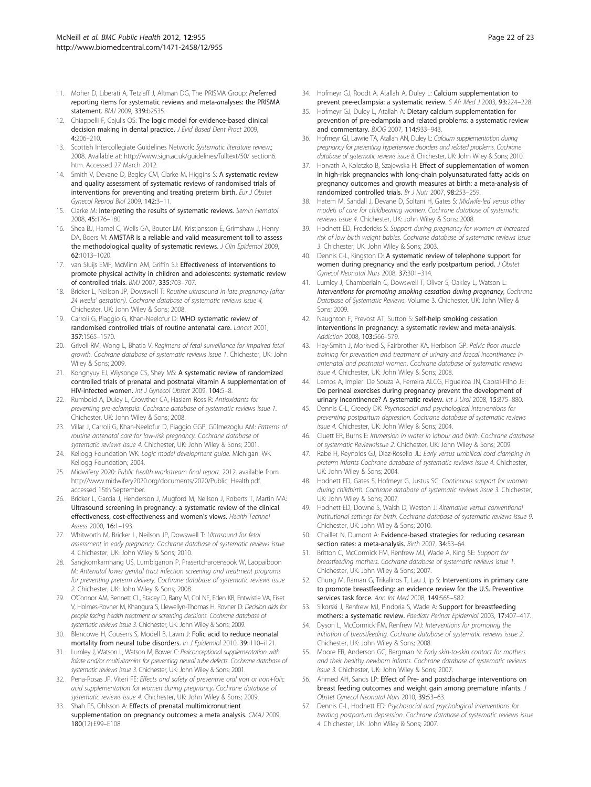- <span id="page-21-0"></span>11. Moher D, Liberati A, Tetzlaff J, Altman DG, The PRISMA Group: Preferred reporting items for systematic reviews and meta-analyses: the PRISMA statement. BMJ 2009, 339:b2535.
- 12. Chiappelli F, Cajulis OS: The logic model for evidence-based clinical decision making in dental practice. J Evid Based Dent Pract 2009, 4:206–210.
- 13. Scottish Intercollegiate Guidelines Network: Systematic literature review.; 2008. Available at:<http://www.sign.ac.uk/guidelines/fulltext/50/> section6. htm. Accessed 27 March 2012.
- 14. Smith V, Devane D, Begley CM, Clarke M, Higgins S: A systematic review and quality assessment of systematic reviews of randomised trials of interventions for preventing and treating preterm birth. Fur J Obstet Gynecol Reprod Biol 2009, 142:3–11.
- 15. Clarke M: Interpreting the results of systematic reviews. Semin Hematol 2008, 45:176–180.
- 16. Shea BJ, Hamel C, Wells GA, Bouter LM, Kristjansson E, Grimshaw J, Henry DA, Boers M: AMSTAR is a reliable and valid measurement toll to assess the methodological quality of systematic reviews. J Clin Epidemol 2009, 62:1013–1020.
- 17. van Sluijs EMF, McMinn AM, Griffin SJ: Effectiveness of interventions to promote physical activity in children and adolescents: systematic review of controlled trials. BMJ 2007, 335:703–707.
- 18. Bricker L, Neilson JP, Dowswell T: Routine ultrasound in late pregnancy (after 24 weeks' gestation). Cochrane database of systematic reviews issue 4, Chichester, UK: John Wiley & Sons; 2008.
- 19. Carroli G, Piaggio G, Khan-Neelofur D: WHO systematic review of randomised controlled trials of routine antenatal care. Lancet 2001, 357:1565–1570.
- 20. Grivell RM, Wong L, Bhatia V: Regimens of fetal surveillance for impaired fetal growth. Cochrane database of systematic reviews issue 1. Chichester, UK: John Wiley & Sons; 2009.
- 21. Kongnyuy EJ, Wiysonge CS, Shey MS: A systematic review of randomized controlled trials of prenatal and postnatal vitamin A supplementation of HIV-infected women. Int J Gynecol Obstet 2009, 104:5-8.
- 22. Rumbold A, Duley L, Crowther CA, Haslam Ross R: Antioxidants for preventing pre-eclampsia. Cochrane database of systematic reviews issue 1. Chichester, UK: John Wiley & Sons; 2008.
- 23. Villar J, Carroli G, Khan-Neelofur D, Piaggio GGP, Gülmezoglu AM: Patterns of routine antenatal care for low-risk pregnancy. Cochrane database of systematic reviews issue 4. Chichester, UK: John Wiley & Sons; 2001.
- 24. Kellogg Foundation WK: Logic model development guide. Michigan: WK Kellogg Foundation; 2004.
- 25. Midwifery 2020: Public health workstream final report. 2012. available from [http://www.midwifery2020.org/documents/2020/Public\\_Health.pdf](http://www.midwifery2020.org/documents/2020/Public_Health.pdf). accessed 15th September.
- 26. Bricker L, Garcia J, Henderson J, Mugford M, Neilson J, Roberts T, Martin MA: Ultrasound screening in pregnancy: a systematic review of the clinical effectiveness, cost-effectiveness and women's views. Health Technol Assess 2000, 16:1–193.
- 27. Whitworth M, Bricker L, Neilson JP, Dowswell T: Ultrasound for fetal assessment in early pregnancy. Cochrane database of systematic reviews issue 4. Chichester, UK: John Wiley & Sons; 2010.
- 28. Sangkomkamhang US, Lumbiganon P, Prasertcharoensook W, Laopaiboon M: Antenatal lower genital tract infection screening and treatment programs for preventing preterm delivery. Cochrane database of systematic reviews issue 2. Chichester, UK: John Wiley & Sons; 2008.
- 29. O'Connor AM, Bennett CL, Stacey D, Barry M, Col NF, Eden KB, Entwistle VA, Fiset V, Holmes-Rovner M, Khangura S, Llewellyn-Thomas H, Rovner D: Decision aids for people facing health treatment or screening decisions. Cochrane database of systematic reviews issue 3. Chichester, UK: John Wiley & Sons; 2009.
- 30. Blencowe H, Cousens S, Modell B, Lawn J: Folic acid to reduce neonatal mortality from neural tube disorders. In J Epidemiol 2010, 39:i110-i121.
- 31. Lumley J, Watson L, Watson M, Bower C: Periconceptional supplementation with folate and/or multivitamins for preventing neural tube defects. Cochrane database of systematic reviews issue 3. Chichester, UK: John Wiley & Sons; 2001.
- 32. Pena-Rosas JP, Viteri FE: Effects and safety of preventive oral iron or iron+folic acid supplementation for women during pregnancy. Cochrane database of systematic reviews issue 4. Chichester, UK: John Wiley & Sons; 2009.
- 33. Shah PS, Ohlsson A: Effects of prenatal multimicronutrient supplementation on pregnancy outcomes: a meta analysis. CMAJ 2009, 180(12):E99–E108.
- 34. Hofmeyr GJ, Roodt A, Atallah A, Duley L: Calcium supplementation to prevent pre-eclampsia: a systematic review. S Afr Med J 2003, 93:224–228.
- 35. Hofmeyr GJ, Duley L, Atallah A: Dietary calcium supplementation for prevention of pre-eclampsia and related problems: a systematic review and commentary. BJOG 2007, 114:933–943.
- 36. Hofmeyr GJ, Lawrie TA, Atallah AN, Duley L: Calcium supplementation during pregnancy for preventing hypertensive disorders and related problems. Cochrane database of systematic reviews issue 8. Chichester, UK: John Wiley & Sons; 2010.
- 37. Horvath A, Koletzko B, Szajewska H: Effect of supplementation of women in high-risk pregnancies with long-chain polyunsaturated fatty acids on pregnancy outcomes and growth measures at birth: a meta-analysis of randomized controlled trials. Br J Nutr 2007, 98:253–259.
- Hatem M, Sandall J, Devane D, Soltani H, Gates S: Midwife-led versus other models of care for childbearing women. Cochrane database of systematic reviews issue 4. Chichester, UK: John Wiley & Sons; 2008.
- 39. Hodnett ED, Fredericks S: Support during pregnancy for women at increased risk of low birth weight babies. Cochrane database of systematic reviews issue 3. Chichester, UK: John Wiley & Sons; 2003.
- 40. Dennis C-L, Kingston D: A systematic review of telephone support for women during pregnancy and the early postpartum period. J Obstet Gynecol Neonatal Nurs 2008, 37:301–314.
- 41. Lumley J, Chamberlain C, Dowswell T, Oliver S, Oakley L, Watson L: Interventions for promoting smoking cessation during pregnancy, Cochrane Database of Systematic Reviews, Volume 3. Chichester, UK: John Wiley & Sons; 2009.
- 42. Naughton F, Prevost AT, Sutton S: Self-help smoking cessation interventions in pregnancy: a systematic review and meta-analysis. Addiction 2008, 103:566–579.
- 43. Hay-Smith J, Morkved S, Fairbrother KA, Herbison GP: Pelvic floor muscle training for prevention and treatment of urinary and faecal incontinence in antenatal and postnatal women. Cochrane database of systematic reviews issue 4. Chichester, UK: John Wiley & Sons; 2008.
- 44. Lemos A, Impieri De Souza A, Ferreira ALCG, Figueiroa JN, Cabral-Filho JE: Do perineal exercises during pregnancy prevent the development of urinary incontinence? A systematic review. Int J Urol 2008, 15:875–880.
- Dennis C-L, Creedy DK: Psychosocial and psychological interventions for preventing postpartum depression. Cochrane database of systematic reviews issue 4. Chichester, UK: John Wiley & Sons; 2004.
- 46. Cluett ER, Burns E: Immersion in water in labour and birth. Cochrane database of systematic ReviewsIssue 2. Chichester, UK: John Wiley & Sons; 2009.
- 47. Rabe H, Reynolds GJ, Diaz-Rosello JL: Early versus umbilical cord clamping in preterm infants Cochrane database of systematic reviews issue 4. Chichester, UK: John Wiley & Sons; 2004.
- 48. Hodnett ED, Gates S, Hofmeyr G, Justus SC: Continuous support for women during childbirth. Cochrane database of systematic reviews issue 3. Chichester, UK: John Wiley & Sons; 2007.
- 49. Hodnett ED, Downe S, Walsh D, Weston J: Alternative versus conventional institutional settings for birth. Cochrane database of systematic reviews issue 9. Chichester, UK: John Wiley & Sons; 2010.
- 50. Chaillet N, Dumont A: Evidence-based strategies for reducing cesarean section rates: a meta-analysis. Birth 2007, 34:53–64.
- 51. Britton C, McCormick FM, Renfrew MJ, Wade A, King SE: Support for breastfeeding mothers. Cochrane database of systematic reviews issue 1. Chichester, UK: John Wiley & Sons; 2007.
- 52. Chung M, Raman G, Trikalinos T, Lau J, Ip S: Interventions in primary care to promote breastfeeding: an evidence review for the U.S. Preventive services task force. Ann Int Med 2008, 149:565-582.
- 53. Sikorski J, Renfrew MJ, Pindoria S, Wade A: Support for breastfeeding mothers: a systematic review. Paediatr Perinat Epidemiol 2003, 17:407–417.
- 54. Dyson L, McCormick FM, Renfrew MJ: Interventions for promoting the initiation of breastfeeding. Cochrane database of systematic reviews issue 2. Chichester, UK: John Wiley & Sons; 2008.
- 55. Moore ER, Anderson GC, Bergman N: Early skin-to-skin contact for mothers and their healthy newborn infants. Cochrane database of systematic reviews issue 3. Chichester, UK: John Wiley & Sons; 2007.
- 56. Ahmed AH, Sands LP: Effect of Pre- and postdischarge interventions on breast feeding outcomes and weight gain among premature infants. J Obstet Gynecol Neonatal Nurs 2010, 39:53–63.
- 57. Dennis C-L, Hodnett ED: Psychosocial and psychological interventions for treating postpartum depression. Cochrane database of systematic reviews issue 4. Chichester, UK: John Wiley & Sons; 2007.